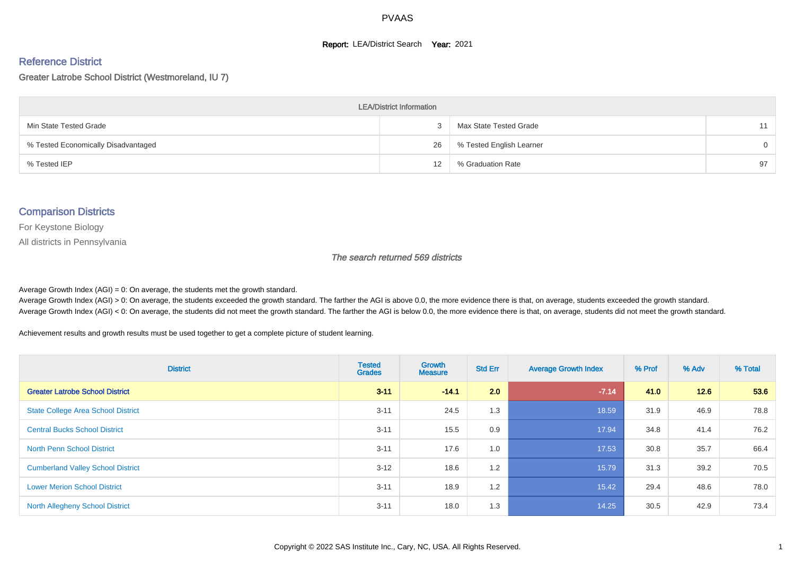#### **Report: LEA/District Search Year: 2021**

#### Reference District

Greater Latrobe School District (Westmoreland, IU 7)

| <b>LEA/District Information</b>     |    |                          |          |  |  |  |  |  |  |
|-------------------------------------|----|--------------------------|----------|--|--|--|--|--|--|
| Min State Tested Grade              |    | Max State Tested Grade   | 11       |  |  |  |  |  |  |
| % Tested Economically Disadvantaged | 26 | % Tested English Learner | $\Omega$ |  |  |  |  |  |  |
| % Tested IEP                        | 12 | % Graduation Rate        | 97       |  |  |  |  |  |  |

#### Comparison Districts

For Keystone Biology

All districts in Pennsylvania

The search returned 569 districts

Average Growth Index  $(AGI) = 0$ : On average, the students met the growth standard.

Average Growth Index (AGI) > 0: On average, the students exceeded the growth standard. The farther the AGI is above 0.0, the more evidence there is that, on average, students exceeded the growth standard. Average Growth Index (AGI) < 0: On average, the students did not meet the growth standard. The farther the AGI is below 0.0, the more evidence there is that, on average, students did not meet the growth standard.

Achievement results and growth results must be used together to get a complete picture of student learning.

| <b>District</b>                           | <b>Tested</b><br><b>Grades</b> | Growth<br><b>Measure</b> | <b>Std Err</b> | <b>Average Growth Index</b> | % Prof | % Adv | % Total |
|-------------------------------------------|--------------------------------|--------------------------|----------------|-----------------------------|--------|-------|---------|
| <b>Greater Latrobe School District</b>    | $3 - 11$                       | $-14.1$                  | 2.0            | $-7.14$                     | 41.0   | 12.6  | 53.6    |
| <b>State College Area School District</b> | $3 - 11$                       | 24.5                     | 1.3            | 18.59                       | 31.9   | 46.9  | 78.8    |
| <b>Central Bucks School District</b>      | $3 - 11$                       | 15.5                     | 0.9            | 17.94                       | 34.8   | 41.4  | 76.2    |
| <b>North Penn School District</b>         | $3 - 11$                       | 17.6                     | 1.0            | 17.53                       | 30.8   | 35.7  | 66.4    |
| <b>Cumberland Valley School District</b>  | $3 - 12$                       | 18.6                     | 1.2            | 15.79                       | 31.3   | 39.2  | 70.5    |
| <b>Lower Merion School District</b>       | $3 - 11$                       | 18.9                     | 1.2            | 15.42                       | 29.4   | 48.6  | 78.0    |
| <b>North Allegheny School District</b>    | $3 - 11$                       | 18.0                     | 1.3            | 14.25                       | 30.5   | 42.9  | 73.4    |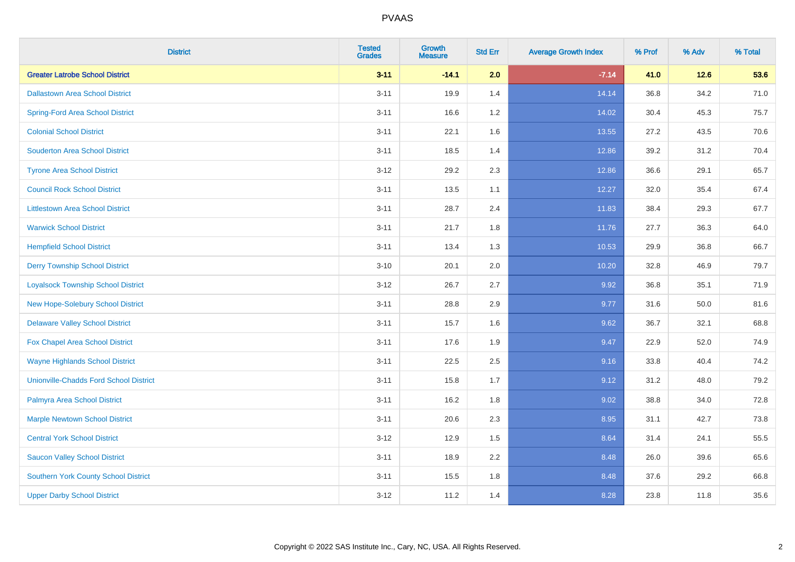| <b>District</b>                               | <b>Tested</b><br><b>Grades</b> | <b>Growth</b><br><b>Measure</b> | <b>Std Err</b> | <b>Average Growth Index</b> | % Prof | % Adv  | % Total |
|-----------------------------------------------|--------------------------------|---------------------------------|----------------|-----------------------------|--------|--------|---------|
| <b>Greater Latrobe School District</b>        | $3 - 11$                       | $-14.1$                         | 2.0            | $-7.14$                     | 41.0   | $12.6$ | 53.6    |
| <b>Dallastown Area School District</b>        | $3 - 11$                       | 19.9                            | 1.4            | 14.14                       | 36.8   | 34.2   | 71.0    |
| <b>Spring-Ford Area School District</b>       | $3 - 11$                       | 16.6                            | 1.2            | 14.02                       | 30.4   | 45.3   | 75.7    |
| <b>Colonial School District</b>               | $3 - 11$                       | 22.1                            | 1.6            | 13.55                       | 27.2   | 43.5   | 70.6    |
| <b>Souderton Area School District</b>         | $3 - 11$                       | 18.5                            | 1.4            | 12.86                       | 39.2   | 31.2   | 70.4    |
| <b>Tyrone Area School District</b>            | $3 - 12$                       | 29.2                            | 2.3            | 12.86                       | 36.6   | 29.1   | 65.7    |
| <b>Council Rock School District</b>           | $3 - 11$                       | 13.5                            | 1.1            | 12.27                       | 32.0   | 35.4   | 67.4    |
| <b>Littlestown Area School District</b>       | $3 - 11$                       | 28.7                            | 2.4            | 11.83                       | 38.4   | 29.3   | 67.7    |
| <b>Warwick School District</b>                | $3 - 11$                       | 21.7                            | 1.8            | 11.76                       | 27.7   | 36.3   | 64.0    |
| <b>Hempfield School District</b>              | $3 - 11$                       | 13.4                            | 1.3            | 10.53                       | 29.9   | 36.8   | 66.7    |
| <b>Derry Township School District</b>         | $3 - 10$                       | 20.1                            | 2.0            | 10.20                       | 32.8   | 46.9   | 79.7    |
| <b>Loyalsock Township School District</b>     | $3 - 12$                       | 26.7                            | 2.7            | 9.92                        | 36.8   | 35.1   | 71.9    |
| New Hope-Solebury School District             | $3 - 11$                       | 28.8                            | 2.9            | 9.77                        | 31.6   | 50.0   | 81.6    |
| <b>Delaware Valley School District</b>        | $3 - 11$                       | 15.7                            | 1.6            | 9.62                        | 36.7   | 32.1   | 68.8    |
| Fox Chapel Area School District               | $3 - 11$                       | 17.6                            | 1.9            | 9.47                        | 22.9   | 52.0   | 74.9    |
| <b>Wayne Highlands School District</b>        | $3 - 11$                       | 22.5                            | 2.5            | 9.16                        | 33.8   | 40.4   | 74.2    |
| <b>Unionville-Chadds Ford School District</b> | $3 - 11$                       | 15.8                            | 1.7            | 9.12                        | 31.2   | 48.0   | 79.2    |
| Palmyra Area School District                  | $3 - 11$                       | 16.2                            | 1.8            | 9.02                        | 38.8   | 34.0   | 72.8    |
| <b>Marple Newtown School District</b>         | $3 - 11$                       | 20.6                            | 2.3            | 8.95                        | 31.1   | 42.7   | 73.8    |
| <b>Central York School District</b>           | $3 - 12$                       | 12.9                            | 1.5            | 8.64                        | 31.4   | 24.1   | 55.5    |
| <b>Saucon Valley School District</b>          | $3 - 11$                       | 18.9                            | 2.2            | 8.48                        | 26.0   | 39.6   | 65.6    |
| <b>Southern York County School District</b>   | $3 - 11$                       | 15.5                            | 1.8            | 8.48                        | 37.6   | 29.2   | 66.8    |
| <b>Upper Darby School District</b>            | $3 - 12$                       | 11.2                            | 1.4            | 8.28                        | 23.8   | 11.8   | 35.6    |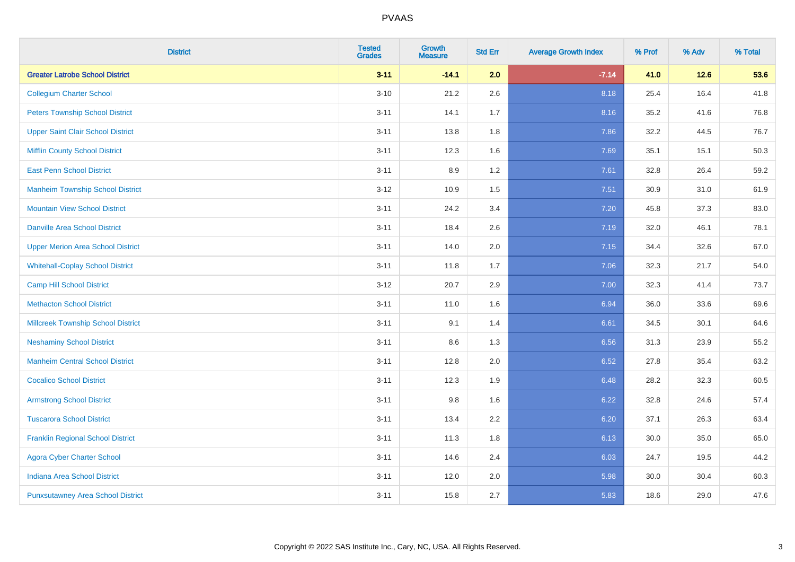| <b>District</b>                           | <b>Tested</b><br><b>Grades</b> | <b>Growth</b><br><b>Measure</b> | <b>Std Err</b> | <b>Average Growth Index</b> | % Prof | % Adv  | % Total |
|-------------------------------------------|--------------------------------|---------------------------------|----------------|-----------------------------|--------|--------|---------|
| <b>Greater Latrobe School District</b>    | $3 - 11$                       | $-14.1$                         | 2.0            | $-7.14$                     | 41.0   | $12.6$ | 53.6    |
| <b>Collegium Charter School</b>           | $3 - 10$                       | 21.2                            | 2.6            | 8.18                        | 25.4   | 16.4   | 41.8    |
| <b>Peters Township School District</b>    | $3 - 11$                       | 14.1                            | 1.7            | 8.16                        | 35.2   | 41.6   | 76.8    |
| <b>Upper Saint Clair School District</b>  | $3 - 11$                       | 13.8                            | 1.8            | 7.86                        | 32.2   | 44.5   | 76.7    |
| <b>Mifflin County School District</b>     | $3 - 11$                       | 12.3                            | 1.6            | 7.69                        | 35.1   | 15.1   | 50.3    |
| <b>East Penn School District</b>          | $3 - 11$                       | 8.9                             | 1.2            | 7.61                        | 32.8   | 26.4   | 59.2    |
| <b>Manheim Township School District</b>   | $3 - 12$                       | 10.9                            | 1.5            | 7.51                        | 30.9   | 31.0   | 61.9    |
| <b>Mountain View School District</b>      | $3 - 11$                       | 24.2                            | 3.4            | 7.20                        | 45.8   | 37.3   | 83.0    |
| <b>Danville Area School District</b>      | $3 - 11$                       | 18.4                            | 2.6            | 7.19                        | 32.0   | 46.1   | 78.1    |
| <b>Upper Merion Area School District</b>  | $3 - 11$                       | 14.0                            | 2.0            | 7.15                        | 34.4   | 32.6   | 67.0    |
| <b>Whitehall-Coplay School District</b>   | $3 - 11$                       | 11.8                            | 1.7            | 7.06                        | 32.3   | 21.7   | 54.0    |
| <b>Camp Hill School District</b>          | $3 - 12$                       | 20.7                            | 2.9            | 7.00                        | 32.3   | 41.4   | 73.7    |
| <b>Methacton School District</b>          | $3 - 11$                       | 11.0                            | 1.6            | 6.94                        | 36.0   | 33.6   | 69.6    |
| <b>Millcreek Township School District</b> | $3 - 11$                       | 9.1                             | 1.4            | 6.61                        | 34.5   | 30.1   | 64.6    |
| <b>Neshaminy School District</b>          | $3 - 11$                       | 8.6                             | 1.3            | 6.56                        | 31.3   | 23.9   | 55.2    |
| <b>Manheim Central School District</b>    | $3 - 11$                       | 12.8                            | 2.0            | 6.52                        | 27.8   | 35.4   | 63.2    |
| <b>Cocalico School District</b>           | $3 - 11$                       | 12.3                            | 1.9            | 6.48                        | 28.2   | 32.3   | 60.5    |
| <b>Armstrong School District</b>          | $3 - 11$                       | 9.8                             | 1.6            | 6.22                        | 32.8   | 24.6   | 57.4    |
| <b>Tuscarora School District</b>          | $3 - 11$                       | 13.4                            | 2.2            | 6.20                        | 37.1   | 26.3   | 63.4    |
| <b>Franklin Regional School District</b>  | $3 - 11$                       | 11.3                            | 1.8            | 6.13                        | 30.0   | 35.0   | 65.0    |
| <b>Agora Cyber Charter School</b>         | $3 - 11$                       | 14.6                            | 2.4            | 6.03                        | 24.7   | 19.5   | 44.2    |
| <b>Indiana Area School District</b>       | $3 - 11$                       | 12.0                            | 2.0            | 5.98                        | 30.0   | 30.4   | 60.3    |
| <b>Punxsutawney Area School District</b>  | $3 - 11$                       | 15.8                            | 2.7            | 5.83                        | 18.6   | 29.0   | 47.6    |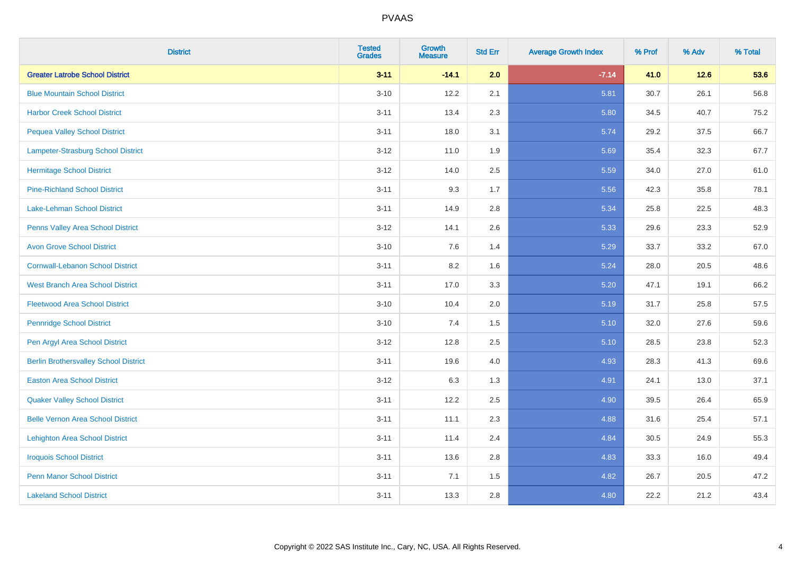| <b>District</b>                              | <b>Tested</b><br><b>Grades</b> | <b>Growth</b><br><b>Measure</b> | <b>Std Err</b> | <b>Average Growth Index</b> | % Prof | % Adv  | % Total |
|----------------------------------------------|--------------------------------|---------------------------------|----------------|-----------------------------|--------|--------|---------|
| <b>Greater Latrobe School District</b>       | $3 - 11$                       | $-14.1$                         | 2.0            | $-7.14$                     | 41.0   | $12.6$ | 53.6    |
| <b>Blue Mountain School District</b>         | $3 - 10$                       | 12.2                            | 2.1            | 5.81                        | 30.7   | 26.1   | 56.8    |
| <b>Harbor Creek School District</b>          | $3 - 11$                       | 13.4                            | 2.3            | 5.80                        | 34.5   | 40.7   | 75.2    |
| <b>Pequea Valley School District</b>         | $3 - 11$                       | 18.0                            | 3.1            | 5.74                        | 29.2   | 37.5   | 66.7    |
| Lampeter-Strasburg School District           | $3 - 12$                       | 11.0                            | 1.9            | 5.69                        | 35.4   | 32.3   | 67.7    |
| <b>Hermitage School District</b>             | $3 - 12$                       | 14.0                            | 2.5            | 5.59                        | 34.0   | 27.0   | 61.0    |
| <b>Pine-Richland School District</b>         | $3 - 11$                       | 9.3                             | 1.7            | 5.56                        | 42.3   | 35.8   | 78.1    |
| Lake-Lehman School District                  | $3 - 11$                       | 14.9                            | 2.8            | 5.34                        | 25.8   | 22.5   | 48.3    |
| Penns Valley Area School District            | $3 - 12$                       | 14.1                            | 2.6            | 5.33                        | 29.6   | 23.3   | 52.9    |
| <b>Avon Grove School District</b>            | $3 - 10$                       | 7.6                             | 1.4            | 5.29                        | 33.7   | 33.2   | 67.0    |
| <b>Cornwall-Lebanon School District</b>      | $3 - 11$                       | 8.2                             | 1.6            | 5.24                        | 28.0   | 20.5   | 48.6    |
| <b>West Branch Area School District</b>      | $3 - 11$                       | 17.0                            | 3.3            | 5.20                        | 47.1   | 19.1   | 66.2    |
| <b>Fleetwood Area School District</b>        | $3 - 10$                       | 10.4                            | 2.0            | 5.19                        | 31.7   | 25.8   | 57.5    |
| <b>Pennridge School District</b>             | $3 - 10$                       | 7.4                             | 1.5            | 5.10                        | 32.0   | 27.6   | 59.6    |
| Pen Argyl Area School District               | $3 - 12$                       | 12.8                            | 2.5            | 5.10                        | 28.5   | 23.8   | 52.3    |
| <b>Berlin Brothersvalley School District</b> | $3 - 11$                       | 19.6                            | 4.0            | 4.93                        | 28.3   | 41.3   | 69.6    |
| <b>Easton Area School District</b>           | $3 - 12$                       | 6.3                             | 1.3            | 4.91                        | 24.1   | 13.0   | 37.1    |
| <b>Quaker Valley School District</b>         | $3 - 11$                       | 12.2                            | 2.5            | 4.90                        | 39.5   | 26.4   | 65.9    |
| <b>Belle Vernon Area School District</b>     | $3 - 11$                       | 11.1                            | 2.3            | 4.88                        | 31.6   | 25.4   | 57.1    |
| <b>Lehighton Area School District</b>        | $3 - 11$                       | 11.4                            | 2.4            | 4.84                        | 30.5   | 24.9   | 55.3    |
| <b>Iroquois School District</b>              | $3 - 11$                       | 13.6                            | 2.8            | 4.83                        | 33.3   | 16.0   | 49.4    |
| <b>Penn Manor School District</b>            | $3 - 11$                       | 7.1                             | 1.5            | 4.82                        | 26.7   | 20.5   | 47.2    |
| <b>Lakeland School District</b>              | $3 - 11$                       | 13.3                            | 2.8            | 4.80                        | 22.2   | 21.2   | 43.4    |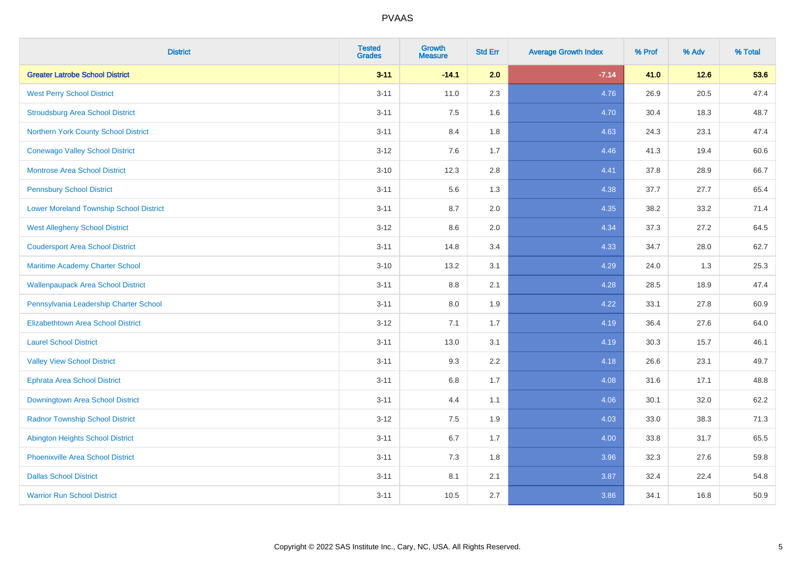| <b>District</b>                                | <b>Tested</b><br><b>Grades</b> | <b>Growth</b><br><b>Measure</b> | <b>Std Err</b> | <b>Average Growth Index</b> | % Prof | % Adv  | % Total |
|------------------------------------------------|--------------------------------|---------------------------------|----------------|-----------------------------|--------|--------|---------|
| <b>Greater Latrobe School District</b>         | $3 - 11$                       | $-14.1$                         | 2.0            | $-7.14$                     | 41.0   | $12.6$ | 53.6    |
| <b>West Perry School District</b>              | $3 - 11$                       | 11.0                            | 2.3            | 4.76                        | 26.9   | 20.5   | 47.4    |
| <b>Stroudsburg Area School District</b>        | $3 - 11$                       | 7.5                             | 1.6            | 4.70                        | 30.4   | 18.3   | 48.7    |
| Northern York County School District           | $3 - 11$                       | 8.4                             | 1.8            | 4.63                        | 24.3   | 23.1   | 47.4    |
| <b>Conewago Valley School District</b>         | $3 - 12$                       | 7.6                             | 1.7            | 4.46                        | 41.3   | 19.4   | 60.6    |
| <b>Montrose Area School District</b>           | $3 - 10$                       | 12.3                            | 2.8            | 4.41                        | 37.8   | 28.9   | 66.7    |
| <b>Pennsbury School District</b>               | $3 - 11$                       | 5.6                             | 1.3            | 4.38                        | 37.7   | 27.7   | 65.4    |
| <b>Lower Moreland Township School District</b> | $3 - 11$                       | 8.7                             | 2.0            | 4.35                        | 38.2   | 33.2   | 71.4    |
| <b>West Allegheny School District</b>          | $3 - 12$                       | 8.6                             | 2.0            | 4.34                        | 37.3   | 27.2   | 64.5    |
| <b>Coudersport Area School District</b>        | $3 - 11$                       | 14.8                            | 3.4            | 4.33                        | 34.7   | 28.0   | 62.7    |
| Maritime Academy Charter School                | $3 - 10$                       | 13.2                            | 3.1            | 4.29                        | 24.0   | 1.3    | 25.3    |
| <b>Wallenpaupack Area School District</b>      | $3 - 11$                       | $8.8\,$                         | 2.1            | 4.28                        | 28.5   | 18.9   | 47.4    |
| Pennsylvania Leadership Charter School         | $3 - 11$                       | 8.0                             | 1.9            | 4.22                        | 33.1   | 27.8   | 60.9    |
| <b>Elizabethtown Area School District</b>      | $3 - 12$                       | 7.1                             | 1.7            | 4.19                        | 36.4   | 27.6   | 64.0    |
| <b>Laurel School District</b>                  | $3 - 11$                       | 13.0                            | 3.1            | 4.19                        | 30.3   | 15.7   | 46.1    |
| <b>Valley View School District</b>             | $3 - 11$                       | 9.3                             | 2.2            | 4.18                        | 26.6   | 23.1   | 49.7    |
| <b>Ephrata Area School District</b>            | $3 - 11$                       | $6.8\,$                         | 1.7            | 4.08                        | 31.6   | 17.1   | 48.8    |
| Downingtown Area School District               | $3 - 11$                       | 4.4                             | 1.1            | 4.06                        | 30.1   | 32.0   | 62.2    |
| <b>Radnor Township School District</b>         | $3 - 12$                       | 7.5                             | 1.9            | 4.03                        | 33.0   | 38.3   | 71.3    |
| <b>Abington Heights School District</b>        | $3 - 11$                       | 6.7                             | 1.7            | 4.00                        | 33.8   | 31.7   | 65.5    |
| Phoenixville Area School District              | $3 - 11$                       | 7.3                             | 1.8            | 3.96                        | 32.3   | 27.6   | 59.8    |
| <b>Dallas School District</b>                  | $3 - 11$                       | 8.1                             | 2.1            | 3.87                        | 32.4   | 22.4   | 54.8    |
| <b>Warrior Run School District</b>             | $3 - 11$                       | 10.5                            | 2.7            | 3.86                        | 34.1   | 16.8   | 50.9    |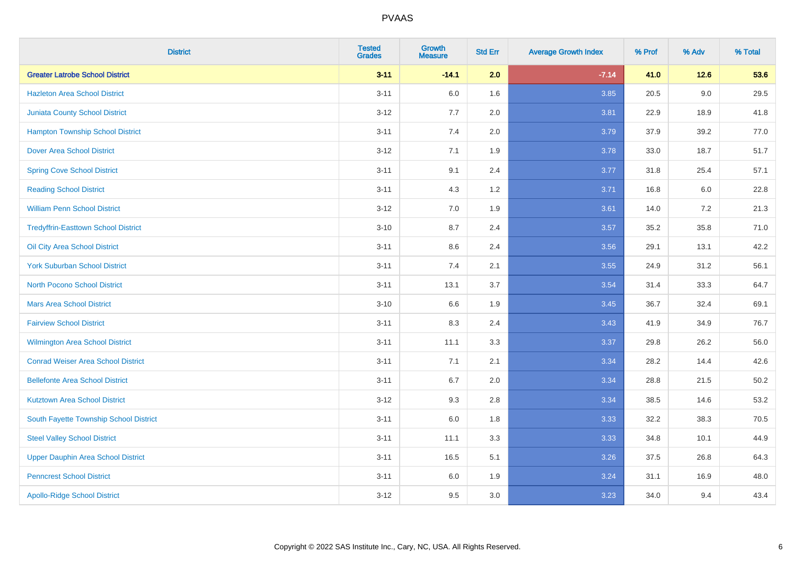| <b>District</b>                            | <b>Tested</b><br><b>Grades</b> | <b>Growth</b><br><b>Measure</b> | <b>Std Err</b> | <b>Average Growth Index</b> | % Prof | % Adv   | % Total |
|--------------------------------------------|--------------------------------|---------------------------------|----------------|-----------------------------|--------|---------|---------|
| <b>Greater Latrobe School District</b>     | $3 - 11$                       | $-14.1$                         | 2.0            | $-7.14$                     | 41.0   | $12.6$  | 53.6    |
| <b>Hazleton Area School District</b>       | $3 - 11$                       | 6.0                             | 1.6            | 3.85                        | 20.5   | 9.0     | 29.5    |
| <b>Juniata County School District</b>      | $3 - 12$                       | 7.7                             | 2.0            | 3.81                        | 22.9   | 18.9    | 41.8    |
| <b>Hampton Township School District</b>    | $3 - 11$                       | 7.4                             | 2.0            | 3.79                        | 37.9   | 39.2    | 77.0    |
| <b>Dover Area School District</b>          | $3 - 12$                       | 7.1                             | 1.9            | 3.78                        | 33.0   | 18.7    | 51.7    |
| <b>Spring Cove School District</b>         | $3 - 11$                       | 9.1                             | 2.4            | 3.77                        | 31.8   | 25.4    | 57.1    |
| <b>Reading School District</b>             | $3 - 11$                       | 4.3                             | 1.2            | 3.71                        | 16.8   | $6.0\,$ | 22.8    |
| <b>William Penn School District</b>        | $3 - 12$                       | 7.0                             | 1.9            | 3.61                        | 14.0   | 7.2     | 21.3    |
| <b>Tredyffrin-Easttown School District</b> | $3 - 10$                       | 8.7                             | 2.4            | 3.57                        | 35.2   | 35.8    | 71.0    |
| Oil City Area School District              | $3 - 11$                       | 8.6                             | 2.4            | 3.56                        | 29.1   | 13.1    | 42.2    |
| <b>York Suburban School District</b>       | $3 - 11$                       | 7.4                             | 2.1            | 3.55                        | 24.9   | 31.2    | 56.1    |
| <b>North Pocono School District</b>        | $3 - 11$                       | 13.1                            | 3.7            | 3.54                        | 31.4   | 33.3    | 64.7    |
| <b>Mars Area School District</b>           | $3 - 10$                       | 6.6                             | 1.9            | 3.45                        | 36.7   | 32.4    | 69.1    |
| <b>Fairview School District</b>            | $3 - 11$                       | 8.3                             | 2.4            | 3.43                        | 41.9   | 34.9    | 76.7    |
| <b>Wilmington Area School District</b>     | $3 - 11$                       | 11.1                            | 3.3            | 3.37                        | 29.8   | 26.2    | 56.0    |
| <b>Conrad Weiser Area School District</b>  | $3 - 11$                       | 7.1                             | 2.1            | 3.34                        | 28.2   | 14.4    | 42.6    |
| <b>Bellefonte Area School District</b>     | $3 - 11$                       | 6.7                             | 2.0            | 3.34                        | 28.8   | 21.5    | 50.2    |
| <b>Kutztown Area School District</b>       | $3 - 12$                       | 9.3                             | 2.8            | 3.34                        | 38.5   | 14.6    | 53.2    |
| South Fayette Township School District     | $3 - 11$                       | 6.0                             | 1.8            | 3.33                        | 32.2   | 38.3    | 70.5    |
| <b>Steel Valley School District</b>        | $3 - 11$                       | 11.1                            | 3.3            | 3.33                        | 34.8   | 10.1    | 44.9    |
| <b>Upper Dauphin Area School District</b>  | $3 - 11$                       | 16.5                            | 5.1            | 3.26                        | 37.5   | 26.8    | 64.3    |
| <b>Penncrest School District</b>           | $3 - 11$                       | 6.0                             | 1.9            | 3.24                        | 31.1   | 16.9    | 48.0    |
| <b>Apollo-Ridge School District</b>        | $3 - 12$                       | 9.5                             | 3.0            | 3.23                        | 34.0   | 9.4     | 43.4    |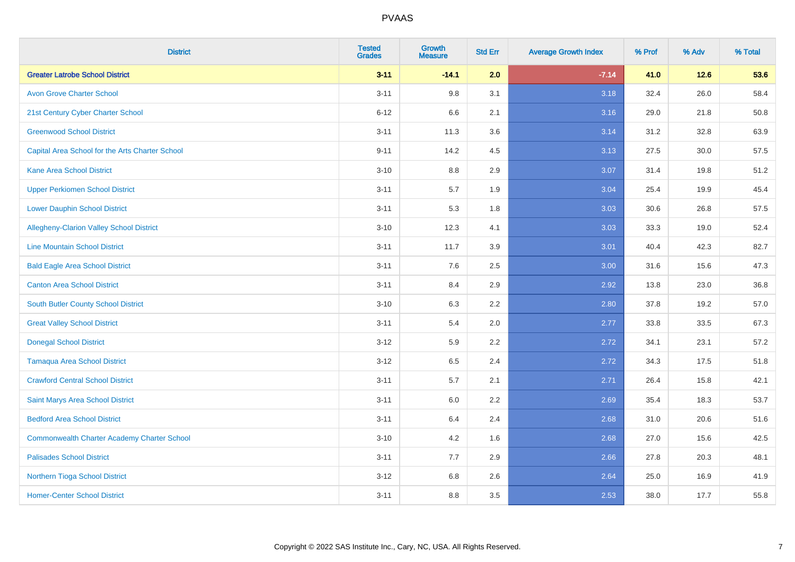| <b>District</b>                                    | <b>Tested</b><br><b>Grades</b> | <b>Growth</b><br><b>Measure</b> | <b>Std Err</b> | <b>Average Growth Index</b> | % Prof | % Adv  | % Total |
|----------------------------------------------------|--------------------------------|---------------------------------|----------------|-----------------------------|--------|--------|---------|
| <b>Greater Latrobe School District</b>             | $3 - 11$                       | $-14.1$                         | 2.0            | $-7.14$                     | 41.0   | $12.6$ | 53.6    |
| <b>Avon Grove Charter School</b>                   | $3 - 11$                       | 9.8                             | 3.1            | 3.18                        | 32.4   | 26.0   | 58.4    |
| 21st Century Cyber Charter School                  | $6 - 12$                       | 6.6                             | 2.1            | 3.16                        | 29.0   | 21.8   | 50.8    |
| <b>Greenwood School District</b>                   | $3 - 11$                       | 11.3                            | 3.6            | 3.14                        | 31.2   | 32.8   | 63.9    |
| Capital Area School for the Arts Charter School    | $9 - 11$                       | 14.2                            | 4.5            | 3.13                        | 27.5   | 30.0   | 57.5    |
| <b>Kane Area School District</b>                   | $3 - 10$                       | 8.8                             | 2.9            | 3.07                        | 31.4   | 19.8   | 51.2    |
| <b>Upper Perkiomen School District</b>             | $3 - 11$                       | 5.7                             | 1.9            | 3.04                        | 25.4   | 19.9   | 45.4    |
| <b>Lower Dauphin School District</b>               | $3 - 11$                       | 5.3                             | 1.8            | 3.03                        | 30.6   | 26.8   | 57.5    |
| Allegheny-Clarion Valley School District           | $3 - 10$                       | 12.3                            | 4.1            | 3.03                        | 33.3   | 19.0   | 52.4    |
| <b>Line Mountain School District</b>               | $3 - 11$                       | 11.7                            | 3.9            | 3.01                        | 40.4   | 42.3   | 82.7    |
| <b>Bald Eagle Area School District</b>             | $3 - 11$                       | 7.6                             | 2.5            | 3.00                        | 31.6   | 15.6   | 47.3    |
| <b>Canton Area School District</b>                 | $3 - 11$                       | 8.4                             | 2.9            | 2.92                        | 13.8   | 23.0   | 36.8    |
| South Butler County School District                | $3 - 10$                       | 6.3                             | 2.2            | 2.80                        | 37.8   | 19.2   | 57.0    |
| <b>Great Valley School District</b>                | $3 - 11$                       | 5.4                             | 2.0            | 2.77                        | 33.8   | 33.5   | 67.3    |
| <b>Donegal School District</b>                     | $3 - 12$                       | 5.9                             | 2.2            | 2.72                        | 34.1   | 23.1   | 57.2    |
| <b>Tamaqua Area School District</b>                | $3 - 12$                       | 6.5                             | 2.4            | 2.72                        | 34.3   | 17.5   | 51.8    |
| <b>Crawford Central School District</b>            | $3 - 11$                       | 5.7                             | 2.1            | 2.71                        | 26.4   | 15.8   | 42.1    |
| Saint Marys Area School District                   | $3 - 11$                       | 6.0                             | 2.2            | 2.69                        | 35.4   | 18.3   | 53.7    |
| <b>Bedford Area School District</b>                | $3 - 11$                       | 6.4                             | 2.4            | 2.68                        | 31.0   | 20.6   | 51.6    |
| <b>Commonwealth Charter Academy Charter School</b> | $3 - 10$                       | 4.2                             | 1.6            | 2.68                        | 27.0   | 15.6   | 42.5    |
| <b>Palisades School District</b>                   | $3 - 11$                       | 7.7                             | 2.9            | 2.66                        | 27.8   | 20.3   | 48.1    |
| Northern Tioga School District                     | $3 - 12$                       | 6.8                             | 2.6            | 2.64                        | 25.0   | 16.9   | 41.9    |
| <b>Homer-Center School District</b>                | $3 - 11$                       | 8.8                             | 3.5            | 2.53                        | 38.0   | 17.7   | 55.8    |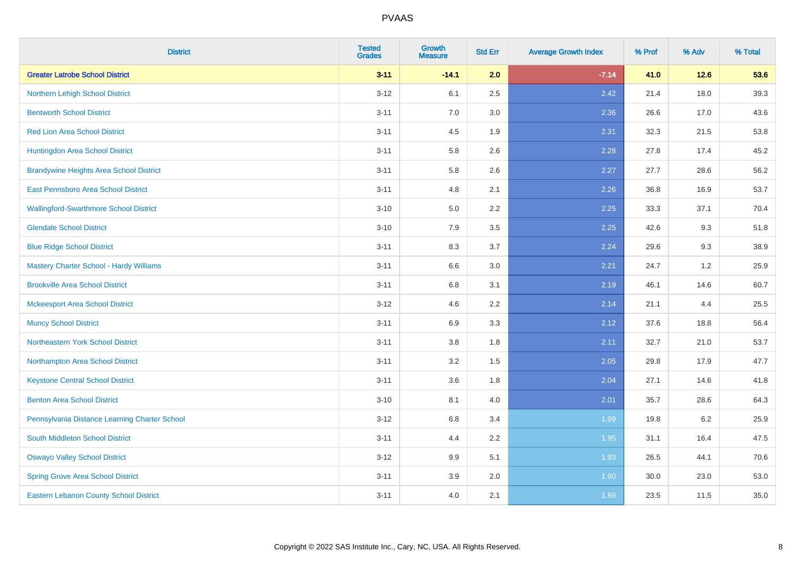| <b>District</b>                                | <b>Tested</b><br><b>Grades</b> | <b>Growth</b><br><b>Measure</b> | <b>Std Err</b> | <b>Average Growth Index</b> | % Prof | % Adv  | % Total |
|------------------------------------------------|--------------------------------|---------------------------------|----------------|-----------------------------|--------|--------|---------|
| <b>Greater Latrobe School District</b>         | $3 - 11$                       | $-14.1$                         | 2.0            | $-7.14$                     | 41.0   | $12.6$ | 53.6    |
| Northern Lehigh School District                | $3 - 12$                       | 6.1                             | 2.5            | 2.42                        | 21.4   | 18.0   | 39.3    |
| <b>Bentworth School District</b>               | $3 - 11$                       | 7.0                             | 3.0            | 2.36                        | 26.6   | 17.0   | 43.6    |
| <b>Red Lion Area School District</b>           | $3 - 11$                       | 4.5                             | 1.9            | 2.31                        | 32.3   | 21.5   | 53.8    |
| Huntingdon Area School District                | $3 - 11$                       | 5.8                             | 2.6            | 2.28                        | 27.8   | 17.4   | 45.2    |
| <b>Brandywine Heights Area School District</b> | $3 - 11$                       | 5.8                             | 2.6            | 2.27                        | 27.7   | 28.6   | 56.2    |
| East Pennsboro Area School District            | $3 - 11$                       | 4.8                             | 2.1            | 2.26                        | 36.8   | 16.9   | 53.7    |
| <b>Wallingford-Swarthmore School District</b>  | $3 - 10$                       | 5.0                             | 2.2            | 2.25                        | 33.3   | 37.1   | 70.4    |
| <b>Glendale School District</b>                | $3 - 10$                       | 7.9                             | 3.5            | 2.25                        | 42.6   | 9.3    | 51.8    |
| <b>Blue Ridge School District</b>              | $3 - 11$                       | 8.3                             | 3.7            | 2.24                        | 29.6   | 9.3    | 38.9    |
| <b>Mastery Charter School - Hardy Williams</b> | $3 - 11$                       | 6.6                             | 3.0            | 2.21                        | 24.7   | 1.2    | 25.9    |
| <b>Brookville Area School District</b>         | $3 - 11$                       | 6.8                             | 3.1            | 2.19                        | 46.1   | 14.6   | 60.7    |
| <b>Mckeesport Area School District</b>         | $3 - 12$                       | 4.6                             | 2.2            | 2.14                        | 21.1   | 4.4    | 25.5    |
| <b>Muncy School District</b>                   | $3 - 11$                       | 6.9                             | 3.3            | 2.12                        | 37.6   | 18.8   | 56.4    |
| Northeastern York School District              | $3 - 11$                       | $3.8\,$                         | 1.8            | 2.11                        | 32.7   | 21.0   | 53.7    |
| Northampton Area School District               | $3 - 11$                       | 3.2                             | 1.5            | 2.05                        | 29.8   | 17.9   | 47.7    |
| <b>Keystone Central School District</b>        | $3 - 11$                       | 3.6                             | 1.8            | 2.04                        | 27.1   | 14.6   | 41.8    |
| <b>Benton Area School District</b>             | $3 - 10$                       | 8.1                             | 4.0            | 2.01                        | 35.7   | 28.6   | 64.3    |
| Pennsylvania Distance Learning Charter School  | $3 - 12$                       | 6.8                             | 3.4            | 1.99                        | 19.8   | 6.2    | 25.9    |
| South Middleton School District                | $3 - 11$                       | 4.4                             | 2.2            | 1.95                        | 31.1   | 16.4   | 47.5    |
| <b>Oswayo Valley School District</b>           | $3 - 12$                       | 9.9                             | 5.1            | 1.93                        | 26.5   | 44.1   | 70.6    |
| <b>Spring Grove Area School District</b>       | $3 - 11$                       | 3.9                             | 2.0            | 1.90                        | 30.0   | 23.0   | 53.0    |
| Eastern Lebanon County School District         | $3 - 11$                       | 4.0                             | 2.1            | 1.89                        | 23.5   | 11.5   | 35.0    |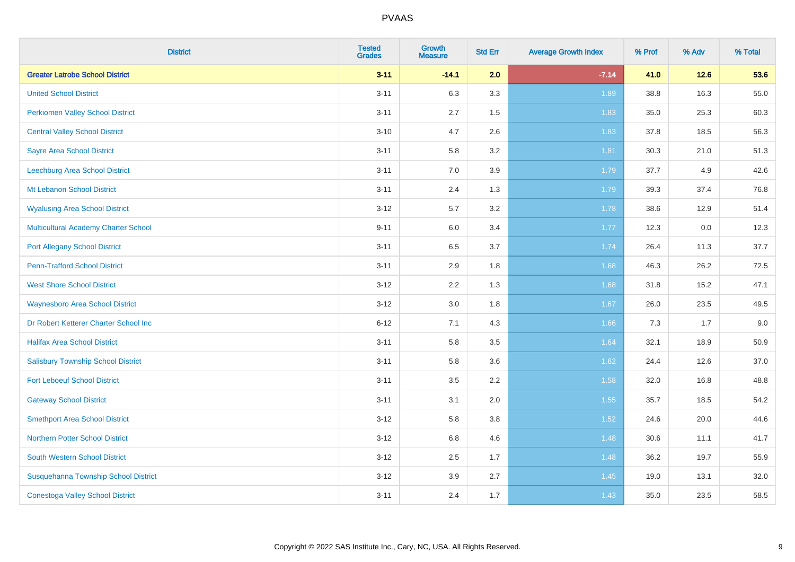| <b>District</b>                             | <b>Tested</b><br><b>Grades</b> | <b>Growth</b><br><b>Measure</b> | <b>Std Err</b> | <b>Average Growth Index</b> | % Prof | % Adv  | % Total |
|---------------------------------------------|--------------------------------|---------------------------------|----------------|-----------------------------|--------|--------|---------|
| <b>Greater Latrobe School District</b>      | $3 - 11$                       | $-14.1$                         | 2.0            | $-7.14$                     | 41.0   | $12.6$ | 53.6    |
| <b>United School District</b>               | $3 - 11$                       | 6.3                             | 3.3            | 1.89                        | 38.8   | 16.3   | 55.0    |
| <b>Perkiomen Valley School District</b>     | $3 - 11$                       | 2.7                             | 1.5            | 1.83                        | 35.0   | 25.3   | 60.3    |
| <b>Central Valley School District</b>       | $3 - 10$                       | 4.7                             | 2.6            | 1.83                        | 37.8   | 18.5   | 56.3    |
| <b>Sayre Area School District</b>           | $3 - 11$                       | 5.8                             | 3.2            | 1.81                        | 30.3   | 21.0   | 51.3    |
| Leechburg Area School District              | $3 - 11$                       | 7.0                             | 3.9            | 1.79                        | 37.7   | 4.9    | 42.6    |
| Mt Lebanon School District                  | $3 - 11$                       | 2.4                             | 1.3            | 1.79                        | 39.3   | 37.4   | 76.8    |
| <b>Wyalusing Area School District</b>       | $3 - 12$                       | 5.7                             | 3.2            | 1.78                        | 38.6   | 12.9   | 51.4    |
| <b>Multicultural Academy Charter School</b> | $9 - 11$                       | 6.0                             | 3.4            | 1.77                        | 12.3   | 0.0    | 12.3    |
| <b>Port Allegany School District</b>        | $3 - 11$                       | $6.5\,$                         | 3.7            | 1.74                        | 26.4   | 11.3   | 37.7    |
| <b>Penn-Trafford School District</b>        | $3 - 11$                       | 2.9                             | 1.8            | 1.68                        | 46.3   | 26.2   | 72.5    |
| <b>West Shore School District</b>           | $3 - 12$                       | 2.2                             | 1.3            | 1.68                        | 31.8   | 15.2   | 47.1    |
| <b>Waynesboro Area School District</b>      | $3 - 12$                       | 3.0                             | 1.8            | 1.67                        | 26.0   | 23.5   | 49.5    |
| Dr Robert Ketterer Charter School Inc       | $6 - 12$                       | 7.1                             | 4.3            | 1.66                        | 7.3    | 1.7    | 9.0     |
| <b>Halifax Area School District</b>         | $3 - 11$                       | 5.8                             | 3.5            | 1.64                        | 32.1   | 18.9   | 50.9    |
| <b>Salisbury Township School District</b>   | $3 - 11$                       | 5.8                             | 3.6            | 1.62                        | 24.4   | 12.6   | 37.0    |
| <b>Fort Leboeuf School District</b>         | $3 - 11$                       | 3.5                             | 2.2            | 1.58                        | 32.0   | 16.8   | 48.8    |
| <b>Gateway School District</b>              | $3 - 11$                       | 3.1                             | 2.0            | 1.55                        | 35.7   | 18.5   | 54.2    |
| <b>Smethport Area School District</b>       | $3 - 12$                       | 5.8                             | 3.8            | $1.52$                      | 24.6   | 20.0   | 44.6    |
| <b>Northern Potter School District</b>      | $3 - 12$                       | 6.8                             | 4.6            | 1.48                        | 30.6   | 11.1   | 41.7    |
| South Western School District               | $3 - 12$                       | 2.5                             | 1.7            | 1.48                        | 36.2   | 19.7   | 55.9    |
| Susquehanna Township School District        | $3 - 12$                       | 3.9                             | 2.7            | 1.45                        | 19.0   | 13.1   | 32.0    |
| <b>Conestoga Valley School District</b>     | $3 - 11$                       | 2.4                             | 1.7            | 1.43                        | 35.0   | 23.5   | 58.5    |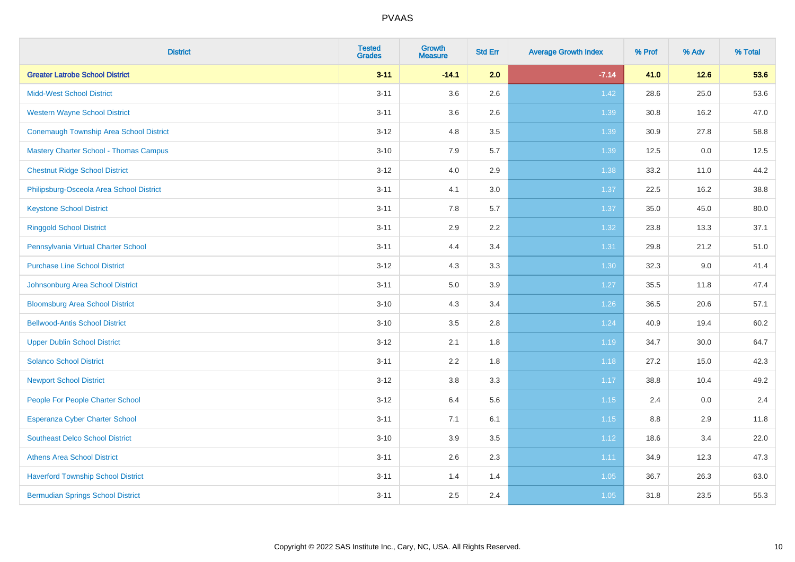| <b>District</b>                                | <b>Tested</b><br><b>Grades</b> | <b>Growth</b><br><b>Measure</b> | <b>Std Err</b> | <b>Average Growth Index</b> | % Prof | % Adv  | % Total |
|------------------------------------------------|--------------------------------|---------------------------------|----------------|-----------------------------|--------|--------|---------|
| <b>Greater Latrobe School District</b>         | $3 - 11$                       | $-14.1$                         | 2.0            | $-7.14$                     | 41.0   | $12.6$ | 53.6    |
| <b>Midd-West School District</b>               | $3 - 11$                       | 3.6                             | 2.6            | 1.42                        | 28.6   | 25.0   | 53.6    |
| <b>Western Wayne School District</b>           | $3 - 11$                       | 3.6                             | 2.6            | 1.39                        | 30.8   | 16.2   | 47.0    |
| <b>Conemaugh Township Area School District</b> | $3 - 12$                       | 4.8                             | 3.5            | 1.39                        | 30.9   | 27.8   | 58.8    |
| <b>Mastery Charter School - Thomas Campus</b>  | $3 - 10$                       | 7.9                             | 5.7            | 1.39                        | 12.5   | 0.0    | 12.5    |
| <b>Chestnut Ridge School District</b>          | $3 - 12$                       | 4.0                             | 2.9            | 1.38                        | 33.2   | 11.0   | 44.2    |
| Philipsburg-Osceola Area School District       | $3 - 11$                       | 4.1                             | 3.0            | 1.37                        | 22.5   | 16.2   | 38.8    |
| <b>Keystone School District</b>                | $3 - 11$                       | 7.8                             | 5.7            | 1.37                        | 35.0   | 45.0   | 80.0    |
| <b>Ringgold School District</b>                | $3 - 11$                       | 2.9                             | 2.2            | 1.32                        | 23.8   | 13.3   | 37.1    |
| Pennsylvania Virtual Charter School            | $3 - 11$                       | 4.4                             | 3.4            | 1.31                        | 29.8   | 21.2   | 51.0    |
| <b>Purchase Line School District</b>           | $3 - 12$                       | 4.3                             | 3.3            | 1.30                        | 32.3   | 9.0    | 41.4    |
| Johnsonburg Area School District               | $3 - 11$                       | 5.0                             | 3.9            | 1.27                        | 35.5   | 11.8   | 47.4    |
| <b>Bloomsburg Area School District</b>         | $3 - 10$                       | 4.3                             | 3.4            | $1.26$                      | 36.5   | 20.6   | 57.1    |
| <b>Bellwood-Antis School District</b>          | $3 - 10$                       | 3.5                             | 2.8            | 1.24                        | 40.9   | 19.4   | 60.2    |
| <b>Upper Dublin School District</b>            | $3 - 12$                       | 2.1                             | 1.8            | 1.19                        | 34.7   | 30.0   | 64.7    |
| <b>Solanco School District</b>                 | $3 - 11$                       | 2.2                             | 1.8            | 1.18                        | 27.2   | 15.0   | 42.3    |
| <b>Newport School District</b>                 | $3 - 12$                       | $3.8\,$                         | 3.3            | 1.17                        | 38.8   | 10.4   | 49.2    |
| People For People Charter School               | $3 - 12$                       | 6.4                             | 5.6            | 1.15                        | 2.4    | 0.0    | 2.4     |
| Esperanza Cyber Charter School                 | $3 - 11$                       | 7.1                             | 6.1            | 1.15                        | 8.8    | 2.9    | 11.8    |
| <b>Southeast Delco School District</b>         | $3 - 10$                       | 3.9                             | 3.5            | 1.12                        | 18.6   | 3.4    | 22.0    |
| <b>Athens Area School District</b>             | $3 - 11$                       | 2.6                             | 2.3            | 1.11                        | 34.9   | 12.3   | 47.3    |
| <b>Haverford Township School District</b>      | $3 - 11$                       | 1.4                             | 1.4            | 1.05                        | 36.7   | 26.3   | 63.0    |
| <b>Bermudian Springs School District</b>       | $3 - 11$                       | 2.5                             | 2.4            | 1.05                        | 31.8   | 23.5   | 55.3    |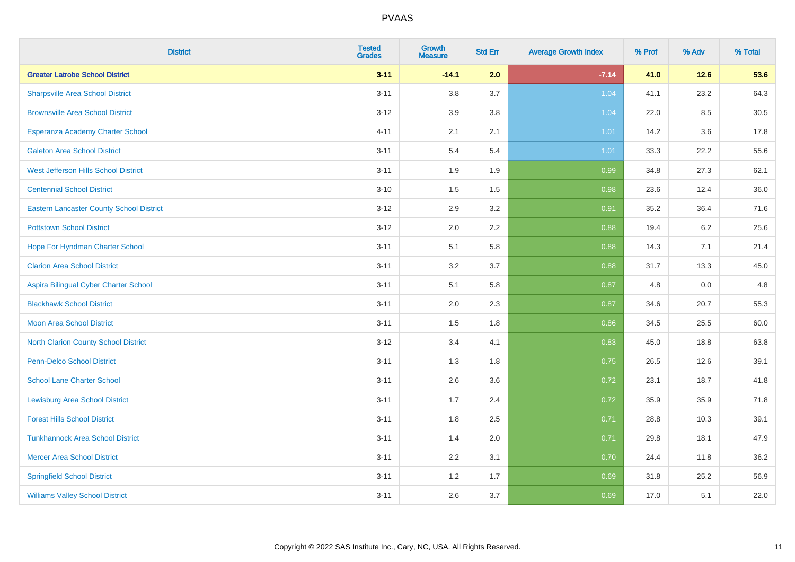| <b>District</b>                                 | <b>Tested</b><br><b>Grades</b> | <b>Growth</b><br><b>Measure</b> | <b>Std Err</b> | <b>Average Growth Index</b> | % Prof | % Adv   | % Total |
|-------------------------------------------------|--------------------------------|---------------------------------|----------------|-----------------------------|--------|---------|---------|
| <b>Greater Latrobe School District</b>          | $3 - 11$                       | $-14.1$                         | 2.0            | $-7.14$                     | 41.0   | $12.6$  | 53.6    |
| <b>Sharpsville Area School District</b>         | $3 - 11$                       | 3.8                             | 3.7            | 1.04                        | 41.1   | 23.2    | 64.3    |
| <b>Brownsville Area School District</b>         | $3 - 12$                       | 3.9                             | 3.8            | 1.04                        | 22.0   | 8.5     | 30.5    |
| Esperanza Academy Charter School                | $4 - 11$                       | 2.1                             | 2.1            | 1.01                        | 14.2   | $3.6\,$ | 17.8    |
| <b>Galeton Area School District</b>             | $3 - 11$                       | 5.4                             | 5.4            | 1.01                        | 33.3   | 22.2    | 55.6    |
| West Jefferson Hills School District            | $3 - 11$                       | 1.9                             | 1.9            | 0.99                        | 34.8   | 27.3    | 62.1    |
| <b>Centennial School District</b>               | $3 - 10$                       | 1.5                             | 1.5            | 0.98                        | 23.6   | 12.4    | 36.0    |
| <b>Eastern Lancaster County School District</b> | $3 - 12$                       | 2.9                             | 3.2            | 0.91                        | 35.2   | 36.4    | 71.6    |
| <b>Pottstown School District</b>                | $3 - 12$                       | 2.0                             | 2.2            | 0.88                        | 19.4   | 6.2     | 25.6    |
| Hope For Hyndman Charter School                 | $3 - 11$                       | 5.1                             | 5.8            | 0.88                        | 14.3   | 7.1     | 21.4    |
| <b>Clarion Area School District</b>             | $3 - 11$                       | 3.2                             | 3.7            | 0.88                        | 31.7   | 13.3    | 45.0    |
| Aspira Bilingual Cyber Charter School           | $3 - 11$                       | 5.1                             | 5.8            | 0.87                        | 4.8    | 0.0     | 4.8     |
| <b>Blackhawk School District</b>                | $3 - 11$                       | 2.0                             | 2.3            | 0.87                        | 34.6   | 20.7    | 55.3    |
| <b>Moon Area School District</b>                | $3 - 11$                       | 1.5                             | 1.8            | 0.86                        | 34.5   | 25.5    | 60.0    |
| <b>North Clarion County School District</b>     | $3 - 12$                       | 3.4                             | 4.1            | 0.83                        | 45.0   | 18.8    | 63.8    |
| <b>Penn-Delco School District</b>               | $3 - 11$                       | 1.3                             | 1.8            | 0.75                        | 26.5   | 12.6    | 39.1    |
| <b>School Lane Charter School</b>               | $3 - 11$                       | 2.6                             | 3.6            | 0.72                        | 23.1   | 18.7    | 41.8    |
| <b>Lewisburg Area School District</b>           | $3 - 11$                       | 1.7                             | 2.4            | 0.72                        | 35.9   | 35.9    | 71.8    |
| <b>Forest Hills School District</b>             | $3 - 11$                       | 1.8                             | 2.5            | 0.71                        | 28.8   | 10.3    | 39.1    |
| <b>Tunkhannock Area School District</b>         | $3 - 11$                       | 1.4                             | 2.0            | 0.71                        | 29.8   | 18.1    | 47.9    |
| <b>Mercer Area School District</b>              | $3 - 11$                       | 2.2                             | 3.1            | 0.70                        | 24.4   | 11.8    | 36.2    |
| <b>Springfield School District</b>              | $3 - 11$                       | 1.2                             | 1.7            | 0.69                        | 31.8   | 25.2    | 56.9    |
| <b>Williams Valley School District</b>          | $3 - 11$                       | 2.6                             | 3.7            | 0.69                        | 17.0   | 5.1     | 22.0    |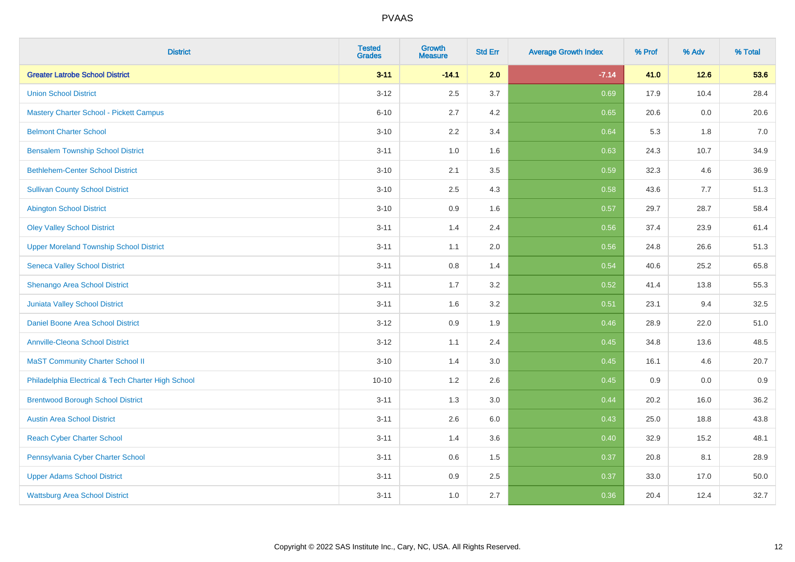| <b>District</b>                                    | <b>Tested</b><br><b>Grades</b> | <b>Growth</b><br><b>Measure</b> | <b>Std Err</b> | <b>Average Growth Index</b> | % Prof | % Adv  | % Total |
|----------------------------------------------------|--------------------------------|---------------------------------|----------------|-----------------------------|--------|--------|---------|
| <b>Greater Latrobe School District</b>             | $3 - 11$                       | $-14.1$                         | 2.0            | $-7.14$                     | 41.0   | $12.6$ | 53.6    |
| <b>Union School District</b>                       | $3 - 12$                       | 2.5                             | 3.7            | 0.69                        | 17.9   | 10.4   | 28.4    |
| <b>Mastery Charter School - Pickett Campus</b>     | $6 - 10$                       | 2.7                             | 4.2            | 0.65                        | 20.6   | 0.0    | 20.6    |
| <b>Belmont Charter School</b>                      | $3 - 10$                       | 2.2                             | 3.4            | 0.64                        | 5.3    | 1.8    | $7.0\,$ |
| <b>Bensalem Township School District</b>           | $3 - 11$                       | 1.0                             | 1.6            | 0.63                        | 24.3   | 10.7   | 34.9    |
| <b>Bethlehem-Center School District</b>            | $3 - 10$                       | 2.1                             | 3.5            | 0.59                        | 32.3   | 4.6    | 36.9    |
| <b>Sullivan County School District</b>             | $3 - 10$                       | 2.5                             | 4.3            | 0.58                        | 43.6   | 7.7    | 51.3    |
| <b>Abington School District</b>                    | $3 - 10$                       | 0.9                             | 1.6            | 0.57                        | 29.7   | 28.7   | 58.4    |
| <b>Oley Valley School District</b>                 | $3 - 11$                       | 1.4                             | 2.4            | 0.56                        | 37.4   | 23.9   | 61.4    |
| <b>Upper Moreland Township School District</b>     | $3 - 11$                       | 1.1                             | 2.0            | 0.56                        | 24.8   | 26.6   | 51.3    |
| <b>Seneca Valley School District</b>               | $3 - 11$                       | 0.8                             | 1.4            | 0.54                        | 40.6   | 25.2   | 65.8    |
| Shenango Area School District                      | $3 - 11$                       | 1.7                             | 3.2            | 0.52                        | 41.4   | 13.8   | 55.3    |
| Juniata Valley School District                     | $3 - 11$                       | 1.6                             | 3.2            | 0.51                        | 23.1   | 9.4    | 32.5    |
| Daniel Boone Area School District                  | $3 - 12$                       | 0.9                             | 1.9            | 0.46                        | 28.9   | 22.0   | 51.0    |
| <b>Annville-Cleona School District</b>             | $3 - 12$                       | 1.1                             | 2.4            | 0.45                        | 34.8   | 13.6   | 48.5    |
| <b>MaST Community Charter School II</b>            | $3 - 10$                       | 1.4                             | 3.0            | 0.45                        | 16.1   | 4.6    | 20.7    |
| Philadelphia Electrical & Tech Charter High School | $10 - 10$                      | 1.2                             | 2.6            | 0.45                        | 0.9    | 0.0    | 0.9     |
| <b>Brentwood Borough School District</b>           | $3 - 11$                       | 1.3                             | 3.0            | 0.44                        | 20.2   | 16.0   | 36.2    |
| <b>Austin Area School District</b>                 | $3 - 11$                       | 2.6                             | 6.0            | 0.43                        | 25.0   | 18.8   | 43.8    |
| <b>Reach Cyber Charter School</b>                  | $3 - 11$                       | 1.4                             | 3.6            | 0.40                        | 32.9   | 15.2   | 48.1    |
| Pennsylvania Cyber Charter School                  | $3 - 11$                       | 0.6                             | 1.5            | 0.37                        | 20.8   | 8.1    | 28.9    |
| <b>Upper Adams School District</b>                 | $3 - 11$                       | 0.9                             | 2.5            | 0.37                        | 33.0   | 17.0   | 50.0    |
| <b>Wattsburg Area School District</b>              | $3 - 11$                       | 1.0                             | 2.7            | 0.36                        | 20.4   | 12.4   | 32.7    |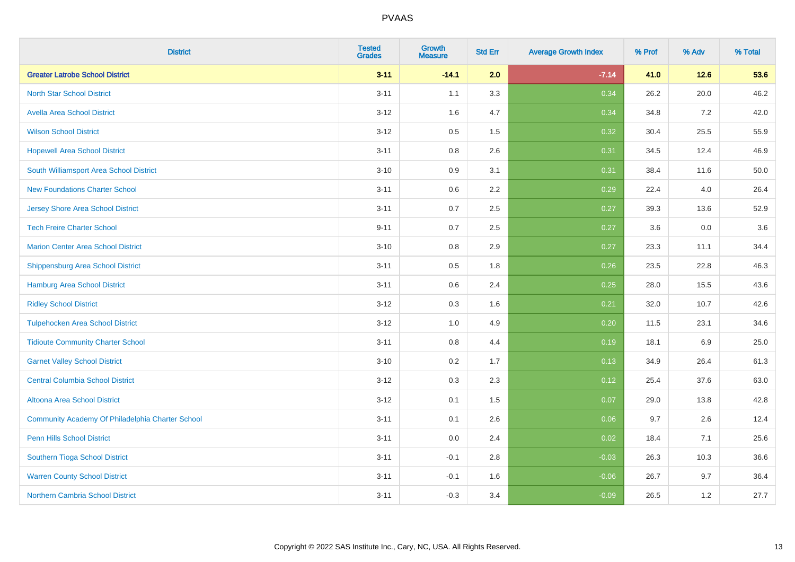| <b>District</b>                                  | <b>Tested</b><br><b>Grades</b> | <b>Growth</b><br><b>Measure</b> | <b>Std Err</b> | <b>Average Growth Index</b> | % Prof | % Adv  | % Total |
|--------------------------------------------------|--------------------------------|---------------------------------|----------------|-----------------------------|--------|--------|---------|
| <b>Greater Latrobe School District</b>           | $3 - 11$                       | $-14.1$                         | 2.0            | $-7.14$                     | 41.0   | $12.6$ | 53.6    |
| <b>North Star School District</b>                | $3 - 11$                       | 1.1                             | 3.3            | 0.34                        | 26.2   | 20.0   | 46.2    |
| <b>Avella Area School District</b>               | $3 - 12$                       | 1.6                             | 4.7            | 0.34                        | 34.8   | 7.2    | 42.0    |
| <b>Wilson School District</b>                    | $3 - 12$                       | 0.5                             | 1.5            | 0.32                        | 30.4   | 25.5   | 55.9    |
| <b>Hopewell Area School District</b>             | $3 - 11$                       | 0.8                             | 2.6            | 0.31                        | 34.5   | 12.4   | 46.9    |
| South Williamsport Area School District          | $3 - 10$                       | 0.9                             | 3.1            | 0.31                        | 38.4   | 11.6   | 50.0    |
| <b>New Foundations Charter School</b>            | $3 - 11$                       | 0.6                             | 2.2            | 0.29                        | 22.4   | 4.0    | 26.4    |
| <b>Jersey Shore Area School District</b>         | $3 - 11$                       | 0.7                             | 2.5            | 0.27                        | 39.3   | 13.6   | 52.9    |
| <b>Tech Freire Charter School</b>                | $9 - 11$                       | 0.7                             | 2.5            | 0.27                        | 3.6    | 0.0    | 3.6     |
| <b>Marion Center Area School District</b>        | $3 - 10$                       | 0.8                             | 2.9            | 0.27                        | 23.3   | 11.1   | 34.4    |
| <b>Shippensburg Area School District</b>         | $3 - 11$                       | 0.5                             | 1.8            | 0.26                        | 23.5   | 22.8   | 46.3    |
| <b>Hamburg Area School District</b>              | $3 - 11$                       | 0.6                             | 2.4            | 0.25                        | 28.0   | 15.5   | 43.6    |
| <b>Ridley School District</b>                    | $3 - 12$                       | 0.3                             | 1.6            | 0.21                        | 32.0   | 10.7   | 42.6    |
| <b>Tulpehocken Area School District</b>          | $3-12$                         | 1.0                             | 4.9            | 0.20                        | 11.5   | 23.1   | 34.6    |
| <b>Tidioute Community Charter School</b>         | $3 - 11$                       | 0.8                             | 4.4            | 0.19                        | 18.1   | 6.9    | 25.0    |
| <b>Garnet Valley School District</b>             | $3 - 10$                       | 0.2                             | 1.7            | 0.13                        | 34.9   | 26.4   | 61.3    |
| <b>Central Columbia School District</b>          | $3-12$                         | 0.3                             | 2.3            | 0.12                        | 25.4   | 37.6   | 63.0    |
| Altoona Area School District                     | $3 - 12$                       | 0.1                             | 1.5            | 0.07                        | 29.0   | 13.8   | 42.8    |
| Community Academy Of Philadelphia Charter School | $3 - 11$                       | 0.1                             | 2.6            | 0.06                        | 9.7    | 2.6    | 12.4    |
| Penn Hills School District                       | $3 - 11$                       | 0.0                             | 2.4            | 0.02                        | 18.4   | 7.1    | 25.6    |
| Southern Tioga School District                   | $3 - 11$                       | $-0.1$                          | 2.8            | $-0.03$                     | 26.3   | 10.3   | 36.6    |
| <b>Warren County School District</b>             | $3 - 11$                       | $-0.1$                          | 1.6            | $-0.06$                     | 26.7   | 9.7    | 36.4    |
| <b>Northern Cambria School District</b>          | $3 - 11$                       | $-0.3$                          | 3.4            | $-0.09$                     | 26.5   | 1.2    | 27.7    |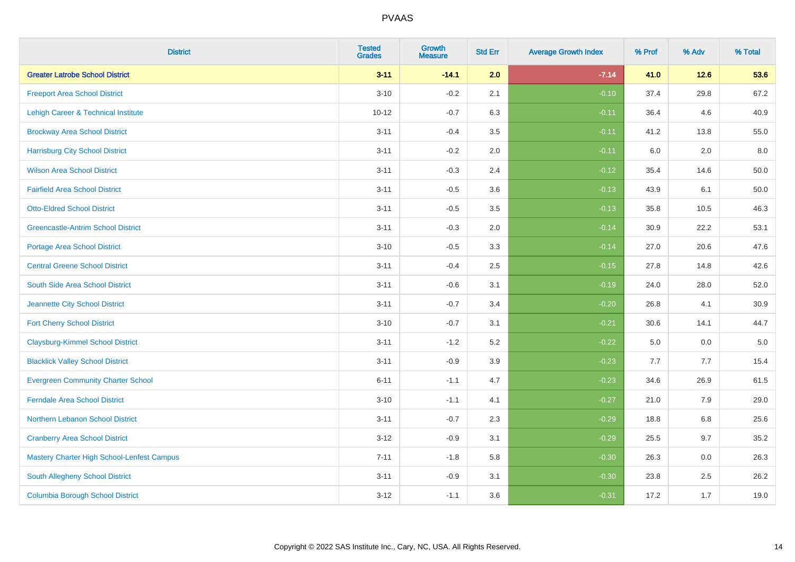| <b>District</b>                                   | <b>Tested</b><br><b>Grades</b> | <b>Growth</b><br><b>Measure</b> | <b>Std Err</b> | <b>Average Growth Index</b> | % Prof | % Adv   | % Total  |
|---------------------------------------------------|--------------------------------|---------------------------------|----------------|-----------------------------|--------|---------|----------|
| <b>Greater Latrobe School District</b>            | $3 - 11$                       | $-14.1$                         | 2.0            | $-7.14$                     | 41.0   | $12.6$  | 53.6     |
| <b>Freeport Area School District</b>              | $3 - 10$                       | $-0.2$                          | 2.1            | $-0.10$                     | 37.4   | 29.8    | 67.2     |
| Lehigh Career & Technical Institute               | $10 - 12$                      | $-0.7$                          | 6.3            | $-0.11$                     | 36.4   | 4.6     | 40.9     |
| <b>Brockway Area School District</b>              | $3 - 11$                       | $-0.4$                          | 3.5            | $-0.11$                     | 41.2   | 13.8    | 55.0     |
| <b>Harrisburg City School District</b>            | $3 - 11$                       | $-0.2$                          | 2.0            | $-0.11$                     | 6.0    | 2.0     | 8.0      |
| <b>Wilson Area School District</b>                | $3 - 11$                       | $-0.3$                          | 2.4            | $-0.12$                     | 35.4   | 14.6    | 50.0     |
| <b>Fairfield Area School District</b>             | $3 - 11$                       | $-0.5$                          | 3.6            | $-0.13$                     | 43.9   | 6.1     | 50.0     |
| <b>Otto-Eldred School District</b>                | $3 - 11$                       | $-0.5$                          | 3.5            | $-0.13$                     | 35.8   | 10.5    | 46.3     |
| <b>Greencastle-Antrim School District</b>         | $3 - 11$                       | $-0.3$                          | 2.0            | $-0.14$                     | 30.9   | 22.2    | 53.1     |
| <b>Portage Area School District</b>               | $3 - 10$                       | $-0.5$                          | 3.3            | $-0.14$                     | 27.0   | 20.6    | 47.6     |
| <b>Central Greene School District</b>             | $3 - 11$                       | $-0.4$                          | 2.5            | $-0.15$                     | 27.8   | 14.8    | 42.6     |
| South Side Area School District                   | $3 - 11$                       | $-0.6$                          | 3.1            | $-0.19$                     | 24.0   | 28.0    | 52.0     |
| Jeannette City School District                    | $3 - 11$                       | $-0.7$                          | 3.4            | $-0.20$                     | 26.8   | 4.1     | $30.9\,$ |
| <b>Fort Cherry School District</b>                | $3 - 10$                       | $-0.7$                          | 3.1            | $-0.21$                     | 30.6   | 14.1    | 44.7     |
| <b>Claysburg-Kimmel School District</b>           | $3 - 11$                       | $-1.2$                          | 5.2            | $-0.22$                     | 5.0    | 0.0     | $5.0\,$  |
| <b>Blacklick Valley School District</b>           | $3 - 11$                       | $-0.9$                          | 3.9            | $-0.23$                     | 7.7    | 7.7     | 15.4     |
| <b>Evergreen Community Charter School</b>         | $6 - 11$                       | $-1.1$                          | 4.7            | $-0.23$                     | 34.6   | 26.9    | 61.5     |
| <b>Ferndale Area School District</b>              | $3 - 10$                       | $-1.1$                          | 4.1            | $-0.27$                     | 21.0   | 7.9     | 29.0     |
| Northern Lebanon School District                  | $3 - 11$                       | $-0.7$                          | 2.3            | $-0.29$                     | 18.8   | $6.8\,$ | 25.6     |
| <b>Cranberry Area School District</b>             | $3 - 12$                       | $-0.9$                          | 3.1            | $-0.29$                     | 25.5   | 9.7     | 35.2     |
| <b>Mastery Charter High School-Lenfest Campus</b> | $7 - 11$                       | $-1.8$                          | 5.8            | $-0.30$                     | 26.3   | 0.0     | 26.3     |
| South Allegheny School District                   | $3 - 11$                       | $-0.9$                          | 3.1            | $-0.30$                     | 23.8   | 2.5     | 26.2     |
| <b>Columbia Borough School District</b>           | $3 - 12$                       | $-1.1$                          | 3.6            | $-0.31$                     | 17.2   | 1.7     | 19.0     |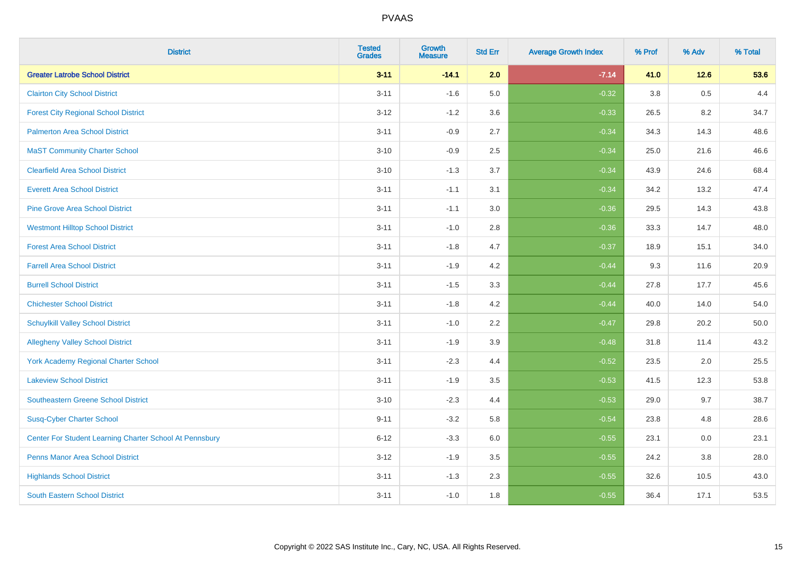| <b>District</b>                                         | <b>Tested</b><br><b>Grades</b> | <b>Growth</b><br><b>Measure</b> | <b>Std Err</b> | <b>Average Growth Index</b> | % Prof | % Adv  | % Total |
|---------------------------------------------------------|--------------------------------|---------------------------------|----------------|-----------------------------|--------|--------|---------|
| <b>Greater Latrobe School District</b>                  | $3 - 11$                       | $-14.1$                         | 2.0            | $-7.14$                     | 41.0   | $12.6$ | 53.6    |
| <b>Clairton City School District</b>                    | $3 - 11$                       | $-1.6$                          | 5.0            | $-0.32$                     | 3.8    | 0.5    | 4.4     |
| <b>Forest City Regional School District</b>             | $3 - 12$                       | $-1.2$                          | 3.6            | $-0.33$                     | 26.5   | 8.2    | 34.7    |
| <b>Palmerton Area School District</b>                   | $3 - 11$                       | $-0.9$                          | 2.7            | $-0.34$                     | 34.3   | 14.3   | 48.6    |
| <b>MaST Community Charter School</b>                    | $3 - 10$                       | $-0.9$                          | 2.5            | $-0.34$                     | 25.0   | 21.6   | 46.6    |
| <b>Clearfield Area School District</b>                  | $3 - 10$                       | $-1.3$                          | 3.7            | $-0.34$                     | 43.9   | 24.6   | 68.4    |
| <b>Everett Area School District</b>                     | $3 - 11$                       | $-1.1$                          | 3.1            | $-0.34$                     | 34.2   | 13.2   | 47.4    |
| <b>Pine Grove Area School District</b>                  | $3 - 11$                       | $-1.1$                          | 3.0            | $-0.36$                     | 29.5   | 14.3   | 43.8    |
| <b>Westmont Hilltop School District</b>                 | $3 - 11$                       | $-1.0$                          | 2.8            | $-0.36$                     | 33.3   | 14.7   | 48.0    |
| <b>Forest Area School District</b>                      | $3 - 11$                       | $-1.8$                          | 4.7            | $-0.37$                     | 18.9   | 15.1   | 34.0    |
| <b>Farrell Area School District</b>                     | $3 - 11$                       | $-1.9$                          | 4.2            | $-0.44$                     | 9.3    | 11.6   | 20.9    |
| <b>Burrell School District</b>                          | $3 - 11$                       | $-1.5$                          | 3.3            | $-0.44$                     | 27.8   | 17.7   | 45.6    |
| <b>Chichester School District</b>                       | $3 - 11$                       | $-1.8$                          | 4.2            | $-0.44$                     | 40.0   | 14.0   | 54.0    |
| <b>Schuylkill Valley School District</b>                | $3 - 11$                       | $-1.0$                          | 2.2            | $-0.47$                     | 29.8   | 20.2   | 50.0    |
| <b>Allegheny Valley School District</b>                 | $3 - 11$                       | $-1.9$                          | 3.9            | $-0.48$                     | 31.8   | 11.4   | 43.2    |
| York Academy Regional Charter School                    | $3 - 11$                       | $-2.3$                          | 4.4            | $-0.52$                     | 23.5   | 2.0    | 25.5    |
| <b>Lakeview School District</b>                         | $3 - 11$                       | $-1.9$                          | 3.5            | $-0.53$                     | 41.5   | 12.3   | 53.8    |
| <b>Southeastern Greene School District</b>              | $3 - 10$                       | $-2.3$                          | 4.4            | $-0.53$                     | 29.0   | 9.7    | 38.7    |
| <b>Susq-Cyber Charter School</b>                        | $9 - 11$                       | $-3.2$                          | 5.8            | $-0.54$                     | 23.8   | 4.8    | 28.6    |
| Center For Student Learning Charter School At Pennsbury | $6 - 12$                       | $-3.3$                          | 6.0            | $-0.55$                     | 23.1   | 0.0    | 23.1    |
| <b>Penns Manor Area School District</b>                 | $3 - 12$                       | $-1.9$                          | 3.5            | $-0.55$                     | 24.2   | 3.8    | 28.0    |
| <b>Highlands School District</b>                        | $3 - 11$                       | $-1.3$                          | 2.3            | $-0.55$                     | 32.6   | 10.5   | 43.0    |
| South Eastern School District                           | $3 - 11$                       | $-1.0$                          | 1.8            | $-0.55$                     | 36.4   | 17.1   | 53.5    |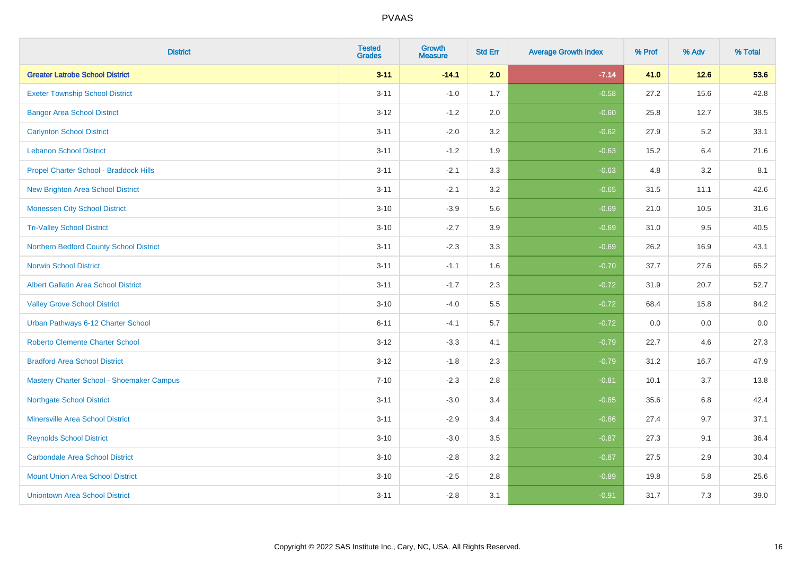| <b>District</b>                             | <b>Tested</b><br><b>Grades</b> | <b>Growth</b><br><b>Measure</b> | <b>Std Err</b> | <b>Average Growth Index</b> | % Prof | % Adv | % Total |
|---------------------------------------------|--------------------------------|---------------------------------|----------------|-----------------------------|--------|-------|---------|
| <b>Greater Latrobe School District</b>      | $3 - 11$                       | $-14.1$                         | 2.0            | $-7.14$                     | 41.0   | 12.6  | 53.6    |
| <b>Exeter Township School District</b>      | $3 - 11$                       | $-1.0$                          | 1.7            | $-0.58$                     | 27.2   | 15.6  | 42.8    |
| <b>Bangor Area School District</b>          | $3 - 12$                       | $-1.2$                          | 2.0            | $-0.60$                     | 25.8   | 12.7  | 38.5    |
| <b>Carlynton School District</b>            | $3 - 11$                       | $-2.0$                          | 3.2            | $-0.62$                     | 27.9   | 5.2   | 33.1    |
| <b>Lebanon School District</b>              | $3 - 11$                       | $-1.2$                          | 1.9            | $-0.63$                     | 15.2   | 6.4   | 21.6    |
| Propel Charter School - Braddock Hills      | $3 - 11$                       | $-2.1$                          | 3.3            | $-0.63$                     | 4.8    | 3.2   | 8.1     |
| <b>New Brighton Area School District</b>    | $3 - 11$                       | $-2.1$                          | 3.2            | $-0.65$                     | 31.5   | 11.1  | 42.6    |
| <b>Monessen City School District</b>        | $3 - 10$                       | $-3.9$                          | 5.6            | $-0.69$                     | 21.0   | 10.5  | 31.6    |
| <b>Tri-Valley School District</b>           | $3 - 10$                       | $-2.7$                          | 3.9            | $-0.69$                     | 31.0   | 9.5   | 40.5    |
| Northern Bedford County School District     | $3 - 11$                       | $-2.3$                          | 3.3            | $-0.69$                     | 26.2   | 16.9  | 43.1    |
| <b>Norwin School District</b>               | $3 - 11$                       | $-1.1$                          | 1.6            | $-0.70$                     | 37.7   | 27.6  | 65.2    |
| <b>Albert Gallatin Area School District</b> | $3 - 11$                       | $-1.7$                          | 2.3            | $-0.72$                     | 31.9   | 20.7  | 52.7    |
| <b>Valley Grove School District</b>         | $3 - 10$                       | $-4.0$                          | 5.5            | $-0.72$                     | 68.4   | 15.8  | 84.2    |
| Urban Pathways 6-12 Charter School          | $6 - 11$                       | $-4.1$                          | 5.7            | $-0.72$                     | 0.0    | 0.0   | $0.0\,$ |
| <b>Roberto Clemente Charter School</b>      | $3 - 12$                       | $-3.3$                          | 4.1            | $-0.79$                     | 22.7   | 4.6   | 27.3    |
| <b>Bradford Area School District</b>        | $3 - 12$                       | $-1.8$                          | 2.3            | $-0.79$                     | 31.2   | 16.7  | 47.9    |
| Mastery Charter School - Shoemaker Campus   | $7 - 10$                       | $-2.3$                          | 2.8            | $-0.81$                     | 10.1   | 3.7   | 13.8    |
| <b>Northgate School District</b>            | $3 - 11$                       | $-3.0$                          | 3.4            | $-0.85$                     | 35.6   | 6.8   | 42.4    |
| <b>Minersville Area School District</b>     | $3 - 11$                       | $-2.9$                          | 3.4            | $-0.86$                     | 27.4   | 9.7   | 37.1    |
| <b>Reynolds School District</b>             | $3 - 10$                       | $-3.0$                          | 3.5            | $-0.87$                     | 27.3   | 9.1   | 36.4    |
| <b>Carbondale Area School District</b>      | $3 - 10$                       | $-2.8$                          | 3.2            | $-0.87$                     | 27.5   | 2.9   | 30.4    |
| <b>Mount Union Area School District</b>     | $3 - 10$                       | $-2.5$                          | 2.8            | $-0.89$                     | 19.8   | 5.8   | 25.6    |
| <b>Uniontown Area School District</b>       | $3 - 11$                       | $-2.8$                          | 3.1            | $-0.91$                     | 31.7   | 7.3   | 39.0    |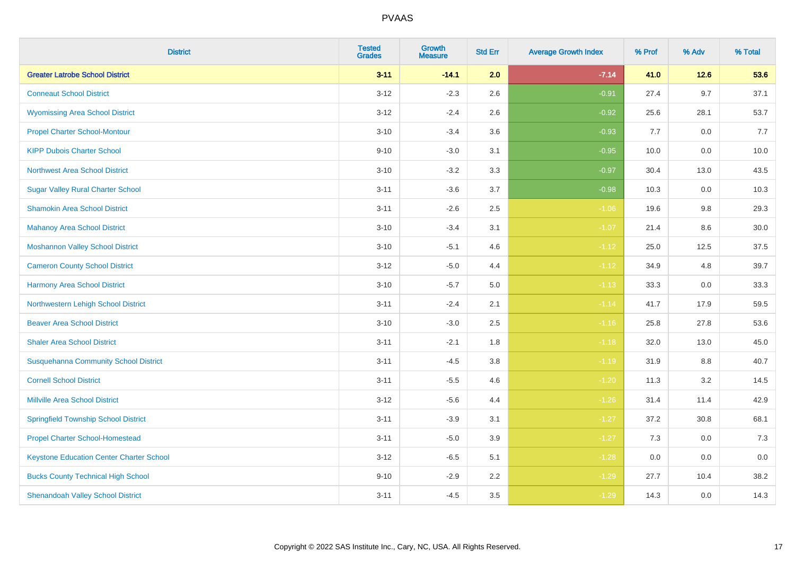| <b>District</b>                                 | <b>Tested</b><br><b>Grades</b> | <b>Growth</b><br><b>Measure</b> | <b>Std Err</b> | <b>Average Growth Index</b> | % Prof | % Adv   | % Total |
|-------------------------------------------------|--------------------------------|---------------------------------|----------------|-----------------------------|--------|---------|---------|
| <b>Greater Latrobe School District</b>          | $3 - 11$                       | $-14.1$                         | 2.0            | $-7.14$                     | 41.0   | $12.6$  | 53.6    |
| <b>Conneaut School District</b>                 | $3 - 12$                       | $-2.3$                          | 2.6            | $-0.91$                     | 27.4   | 9.7     | 37.1    |
| <b>Wyomissing Area School District</b>          | $3-12$                         | $-2.4$                          | 2.6            | $-0.92$                     | 25.6   | 28.1    | 53.7    |
| <b>Propel Charter School-Montour</b>            | $3 - 10$                       | $-3.4$                          | 3.6            | $-0.93$                     | 7.7    | $0.0\,$ | 7.7     |
| <b>KIPP Dubois Charter School</b>               | $9 - 10$                       | $-3.0$                          | 3.1            | $-0.95$                     | 10.0   | 0.0     | 10.0    |
| <b>Northwest Area School District</b>           | $3 - 10$                       | $-3.2$                          | 3.3            | $-0.97$                     | 30.4   | 13.0    | 43.5    |
| <b>Sugar Valley Rural Charter School</b>        | $3 - 11$                       | $-3.6$                          | 3.7            | $-0.98$                     | 10.3   | 0.0     | 10.3    |
| <b>Shamokin Area School District</b>            | $3 - 11$                       | $-2.6$                          | 2.5            | $-1.06$                     | 19.6   | 9.8     | 29.3    |
| <b>Mahanoy Area School District</b>             | $3 - 10$                       | $-3.4$                          | 3.1            | $-1.07$                     | 21.4   | 8.6     | 30.0    |
| <b>Moshannon Valley School District</b>         | $3 - 10$                       | $-5.1$                          | 4.6            | $-1.12$                     | 25.0   | 12.5    | 37.5    |
| <b>Cameron County School District</b>           | $3 - 12$                       | $-5.0$                          | 4.4            | $-1.12$                     | 34.9   | 4.8     | 39.7    |
| <b>Harmony Area School District</b>             | $3 - 10$                       | $-5.7$                          | 5.0            | $-1.13$                     | 33.3   | 0.0     | 33.3    |
| Northwestern Lehigh School District             | $3 - 11$                       | $-2.4$                          | 2.1            | $-1.14$                     | 41.7   | 17.9    | 59.5    |
| <b>Beaver Area School District</b>              | $3 - 10$                       | $-3.0$                          | 2.5            | $-1.16$                     | 25.8   | 27.8    | 53.6    |
| <b>Shaler Area School District</b>              | $3 - 11$                       | $-2.1$                          | 1.8            | $-1.18$                     | 32.0   | 13.0    | 45.0    |
| <b>Susquehanna Community School District</b>    | $3 - 11$                       | $-4.5$                          | 3.8            | $-1.19$                     | 31.9   | $8.8\,$ | 40.7    |
| <b>Cornell School District</b>                  | $3 - 11$                       | $-5.5$                          | 4.6            | $-1.20$                     | 11.3   | 3.2     | 14.5    |
| <b>Millville Area School District</b>           | $3-12$                         | $-5.6$                          | 4.4            | $-1.26$                     | 31.4   | 11.4    | 42.9    |
| <b>Springfield Township School District</b>     | $3 - 11$                       | $-3.9$                          | 3.1            | $-1.27$                     | 37.2   | 30.8    | 68.1    |
| <b>Propel Charter School-Homestead</b>          | $3 - 11$                       | $-5.0$                          | 3.9            | $-1.27$                     | 7.3    | 0.0     | 7.3     |
| <b>Keystone Education Center Charter School</b> | $3 - 12$                       | $-6.5$                          | 5.1            | $-1.28$                     | 0.0    | 0.0     | 0.0     |
| <b>Bucks County Technical High School</b>       | $9 - 10$                       | $-2.9$                          | 2.2            | $-1.29$                     | 27.7   | 10.4    | 38.2    |
| <b>Shenandoah Valley School District</b>        | $3 - 11$                       | $-4.5$                          | 3.5            | $-1.29$                     | 14.3   | 0.0     | 14.3    |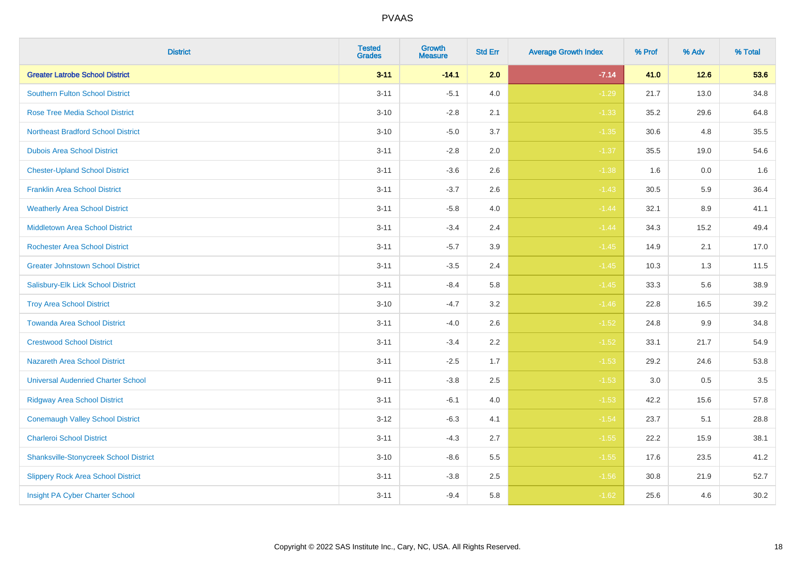| <b>District</b>                               | <b>Tested</b><br><b>Grades</b> | <b>Growth</b><br><b>Measure</b> | <b>Std Err</b> | <b>Average Growth Index</b> | % Prof | % Adv   | % Total |
|-----------------------------------------------|--------------------------------|---------------------------------|----------------|-----------------------------|--------|---------|---------|
| <b>Greater Latrobe School District</b>        | $3 - 11$                       | $-14.1$                         | 2.0            | $-7.14$                     | 41.0   | 12.6    | 53.6    |
| <b>Southern Fulton School District</b>        | $3 - 11$                       | $-5.1$                          | 4.0            | $-1.29$                     | 21.7   | 13.0    | 34.8    |
| <b>Rose Tree Media School District</b>        | $3 - 10$                       | $-2.8$                          | 2.1            | $-1.33$                     | 35.2   | 29.6    | 64.8    |
| <b>Northeast Bradford School District</b>     | $3 - 10$                       | $-5.0$                          | 3.7            | $-1.35$                     | 30.6   | 4.8     | 35.5    |
| <b>Dubois Area School District</b>            | $3 - 11$                       | $-2.8$                          | 2.0            | $-1.37$                     | 35.5   | 19.0    | 54.6    |
| <b>Chester-Upland School District</b>         | $3 - 11$                       | $-3.6$                          | 2.6            | $-1.38$                     | 1.6    | 0.0     | 1.6     |
| <b>Franklin Area School District</b>          | $3 - 11$                       | $-3.7$                          | 2.6            | $-1.43$                     | 30.5   | 5.9     | 36.4    |
| <b>Weatherly Area School District</b>         | $3 - 11$                       | $-5.8$                          | 4.0            | $-1.44$                     | 32.1   | 8.9     | 41.1    |
| <b>Middletown Area School District</b>        | $3 - 11$                       | $-3.4$                          | 2.4            | $-1.44$                     | 34.3   | 15.2    | 49.4    |
| Rochester Area School District                | $3 - 11$                       | $-5.7$                          | 3.9            | $-1.45$                     | 14.9   | 2.1     | 17.0    |
| <b>Greater Johnstown School District</b>      | $3 - 11$                       | $-3.5$                          | 2.4            | $-1.45$                     | 10.3   | 1.3     | 11.5    |
| Salisbury-Elk Lick School District            | $3 - 11$                       | $-8.4$                          | 5.8            | $-1.45$                     | 33.3   | 5.6     | 38.9    |
| <b>Troy Area School District</b>              | $3 - 10$                       | $-4.7$                          | 3.2            | $-1.46$                     | 22.8   | 16.5    | 39.2    |
| <b>Towanda Area School District</b>           | $3 - 11$                       | $-4.0$                          | 2.6            | $-1.52$                     | 24.8   | 9.9     | 34.8    |
| <b>Crestwood School District</b>              | $3 - 11$                       | $-3.4$                          | 2.2            | $-1.52$                     | 33.1   | 21.7    | 54.9    |
| <b>Nazareth Area School District</b>          | $3 - 11$                       | $-2.5$                          | 1.7            | $-1.53$                     | 29.2   | 24.6    | 53.8    |
| <b>Universal Audenried Charter School</b>     | $9 - 11$                       | $-3.8$                          | 2.5            | $-1.53$                     | 3.0    | $0.5\,$ | 3.5     |
| <b>Ridgway Area School District</b>           | $3 - 11$                       | $-6.1$                          | 4.0            | $-1.53$                     | 42.2   | 15.6    | 57.8    |
| <b>Conemaugh Valley School District</b>       | $3-12$                         | $-6.3$                          | 4.1            | $-1.54$                     | 23.7   | 5.1     | 28.8    |
| <b>Charleroi School District</b>              | $3 - 11$                       | $-4.3$                          | 2.7            | $-1.55$                     | 22.2   | 15.9    | 38.1    |
| <b>Shanksville-Stonycreek School District</b> | $3 - 10$                       | $-8.6$                          | 5.5            | $-1.55$                     | 17.6   | 23.5    | 41.2    |
| <b>Slippery Rock Area School District</b>     | $3 - 11$                       | $-3.8$                          | 2.5            | $-1.56$                     | 30.8   | 21.9    | 52.7    |
| Insight PA Cyber Charter School               | $3 - 11$                       | $-9.4$                          | 5.8            | $-1.62$                     | 25.6   | 4.6     | 30.2    |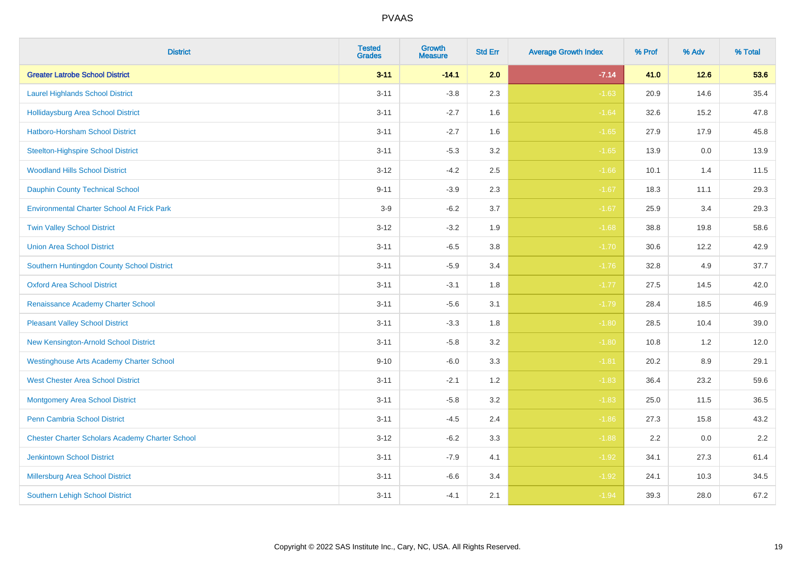| <b>District</b>                                        | <b>Tested</b><br><b>Grades</b> | <b>Growth</b><br><b>Measure</b> | <b>Std Err</b> | <b>Average Growth Index</b> | % Prof | % Adv   | % Total |
|--------------------------------------------------------|--------------------------------|---------------------------------|----------------|-----------------------------|--------|---------|---------|
| <b>Greater Latrobe School District</b>                 | $3 - 11$                       | $-14.1$                         | 2.0            | $-7.14$                     | 41.0   | $12.6$  | 53.6    |
| <b>Laurel Highlands School District</b>                | $3 - 11$                       | $-3.8$                          | 2.3            | $-1.63$                     | 20.9   | 14.6    | 35.4    |
| <b>Hollidaysburg Area School District</b>              | $3 - 11$                       | $-2.7$                          | 1.6            | $-1.64$                     | 32.6   | 15.2    | 47.8    |
| Hatboro-Horsham School District                        | $3 - 11$                       | $-2.7$                          | 1.6            | $-1.65$                     | 27.9   | 17.9    | 45.8    |
| <b>Steelton-Highspire School District</b>              | $3 - 11$                       | $-5.3$                          | 3.2            | $-1.65$                     | 13.9   | 0.0     | 13.9    |
| <b>Woodland Hills School District</b>                  | $3 - 12$                       | $-4.2$                          | 2.5            | $-1.66$                     | 10.1   | 1.4     | 11.5    |
| <b>Dauphin County Technical School</b>                 | $9 - 11$                       | $-3.9$                          | 2.3            | $-1.67$                     | 18.3   | 11.1    | 29.3    |
| <b>Environmental Charter School At Frick Park</b>      | $3-9$                          | $-6.2$                          | 3.7            | $-1.67$                     | 25.9   | 3.4     | 29.3    |
| <b>Twin Valley School District</b>                     | $3 - 12$                       | $-3.2$                          | 1.9            | $-1.68$                     | 38.8   | 19.8    | 58.6    |
| <b>Union Area School District</b>                      | $3 - 11$                       | $-6.5$                          | 3.8            | $-1.70$                     | 30.6   | 12.2    | 42.9    |
| Southern Huntingdon County School District             | $3 - 11$                       | $-5.9$                          | 3.4            | $-1.76$                     | 32.8   | 4.9     | 37.7    |
| <b>Oxford Area School District</b>                     | $3 - 11$                       | $-3.1$                          | 1.8            | $-1.77$                     | 27.5   | 14.5    | 42.0    |
| Renaissance Academy Charter School                     | $3 - 11$                       | $-5.6$                          | 3.1            | $-1.79$                     | 28.4   | 18.5    | 46.9    |
| <b>Pleasant Valley School District</b>                 | $3 - 11$                       | $-3.3$                          | 1.8            | $-1.80$                     | 28.5   | 10.4    | 39.0    |
| New Kensington-Arnold School District                  | $3 - 11$                       | $-5.8$                          | 3.2            | $-1.80$                     | 10.8   | 1.2     | 12.0    |
| <b>Westinghouse Arts Academy Charter School</b>        | $9 - 10$                       | $-6.0$                          | 3.3            | $-1.81$                     | 20.2   | $8.9\,$ | 29.1    |
| <b>West Chester Area School District</b>               | $3 - 11$                       | $-2.1$                          | 1.2            | $-1.83$                     | 36.4   | 23.2    | 59.6    |
| <b>Montgomery Area School District</b>                 | $3 - 11$                       | $-5.8$                          | 3.2            | $-1.83$                     | 25.0   | 11.5    | 36.5    |
| <b>Penn Cambria School District</b>                    | $3 - 11$                       | $-4.5$                          | 2.4            | $-1.86$                     | 27.3   | 15.8    | 43.2    |
| <b>Chester Charter Scholars Academy Charter School</b> | $3 - 12$                       | $-6.2$                          | 3.3            | $-1.88$                     | 2.2    | 0.0     | 2.2     |
| <b>Jenkintown School District</b>                      | $3 - 11$                       | $-7.9$                          | 4.1            | $-1.92$                     | 34.1   | 27.3    | 61.4    |
| Millersburg Area School District                       | $3 - 11$                       | $-6.6$                          | 3.4            | $-1.92$                     | 24.1   | 10.3    | 34.5    |
| <b>Southern Lehigh School District</b>                 | $3 - 11$                       | $-4.1$                          | 2.1            | $-1.94$                     | 39.3   | 28.0    | 67.2    |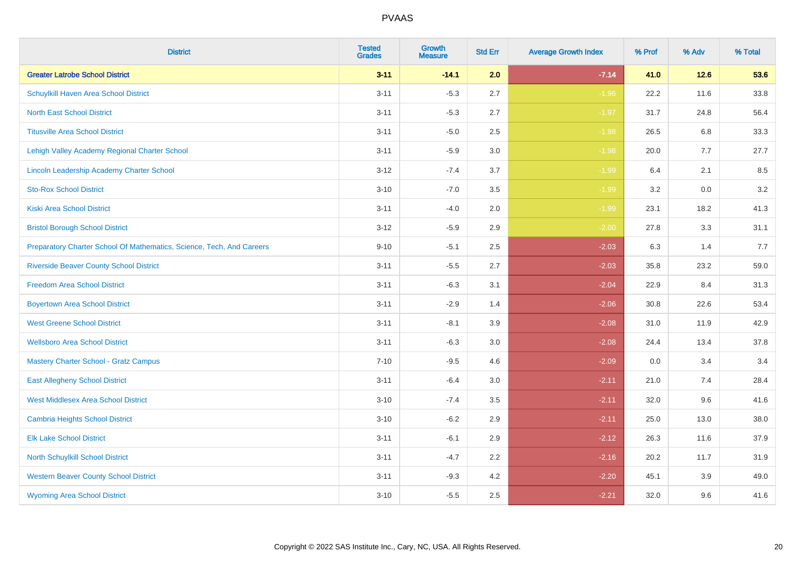| <b>District</b>                                                       | <b>Tested</b><br><b>Grades</b> | <b>Growth</b><br><b>Measure</b> | <b>Std Err</b> | <b>Average Growth Index</b> | % Prof | % Adv   | % Total |
|-----------------------------------------------------------------------|--------------------------------|---------------------------------|----------------|-----------------------------|--------|---------|---------|
| <b>Greater Latrobe School District</b>                                | $3 - 11$                       | $-14.1$                         | 2.0            | $-7.14$                     | 41.0   | $12.6$  | 53.6    |
| Schuylkill Haven Area School District                                 | $3 - 11$                       | $-5.3$                          | 2.7            | $-1.96$                     | 22.2   | 11.6    | 33.8    |
| <b>North East School District</b>                                     | $3 - 11$                       | $-5.3$                          | 2.7            | $-1.97$                     | 31.7   | 24.8    | 56.4    |
| <b>Titusville Area School District</b>                                | $3 - 11$                       | $-5.0$                          | 2.5            | $-1.98$                     | 26.5   | 6.8     | 33.3    |
| Lehigh Valley Academy Regional Charter School                         | $3 - 11$                       | $-5.9$                          | 3.0            | $-1.98$                     | 20.0   | 7.7     | 27.7    |
| Lincoln Leadership Academy Charter School                             | $3 - 12$                       | $-7.4$                          | 3.7            | $-1.99$                     | 6.4    | 2.1     | 8.5     |
| <b>Sto-Rox School District</b>                                        | $3 - 10$                       | $-7.0$                          | 3.5            | $-1.99$                     | 3.2    | $0.0\,$ | 3.2     |
| <b>Kiski Area School District</b>                                     | $3 - 11$                       | $-4.0$                          | 2.0            | $-1.99$                     | 23.1   | 18.2    | 41.3    |
| <b>Bristol Borough School District</b>                                | $3 - 12$                       | $-5.9$                          | 2.9            | $-2.00$                     | 27.8   | 3.3     | 31.1    |
| Preparatory Charter School Of Mathematics, Science, Tech, And Careers | $9 - 10$                       | $-5.1$                          | $2.5\,$        | $-2.03$                     | 6.3    | 1.4     | 7.7     |
| <b>Riverside Beaver County School District</b>                        | $3 - 11$                       | $-5.5$                          | 2.7            | $-2.03$                     | 35.8   | 23.2    | 59.0    |
| <b>Freedom Area School District</b>                                   | $3 - 11$                       | $-6.3$                          | 3.1            | $-2.04$                     | 22.9   | 8.4     | 31.3    |
| <b>Boyertown Area School District</b>                                 | $3 - 11$                       | $-2.9$                          | 1.4            | $-2.06$                     | 30.8   | 22.6    | 53.4    |
| <b>West Greene School District</b>                                    | $3 - 11$                       | $-8.1$                          | 3.9            | $-2.08$                     | 31.0   | 11.9    | 42.9    |
| <b>Wellsboro Area School District</b>                                 | $3 - 11$                       | $-6.3$                          | 3.0            | $-2.08$                     | 24.4   | 13.4    | 37.8    |
| <b>Mastery Charter School - Gratz Campus</b>                          | $7 - 10$                       | $-9.5$                          | 4.6            | $-2.09$                     | 0.0    | 3.4     | 3.4     |
| <b>East Allegheny School District</b>                                 | $3 - 11$                       | $-6.4$                          | 3.0            | $-2.11$                     | 21.0   | 7.4     | 28.4    |
| <b>West Middlesex Area School District</b>                            | $3 - 10$                       | $-7.4$                          | 3.5            | $-2.11$                     | 32.0   | 9.6     | 41.6    |
| <b>Cambria Heights School District</b>                                | $3 - 10$                       | $-6.2$                          | 2.9            | $-2.11$                     | 25.0   | 13.0    | 38.0    |
| <b>Elk Lake School District</b>                                       | $3 - 11$                       | $-6.1$                          | 2.9            | $-2.12$                     | 26.3   | 11.6    | 37.9    |
| North Schuylkill School District                                      | $3 - 11$                       | $-4.7$                          | 2.2            | $-2.16$                     | 20.2   | 11.7    | 31.9    |
| <b>Western Beaver County School District</b>                          | $3 - 11$                       | $-9.3$                          | 4.2            | $-2.20$                     | 45.1   | 3.9     | 49.0    |
| <b>Wyoming Area School District</b>                                   | $3 - 10$                       | $-5.5$                          | 2.5            | $-2.21$                     | 32.0   | 9.6     | 41.6    |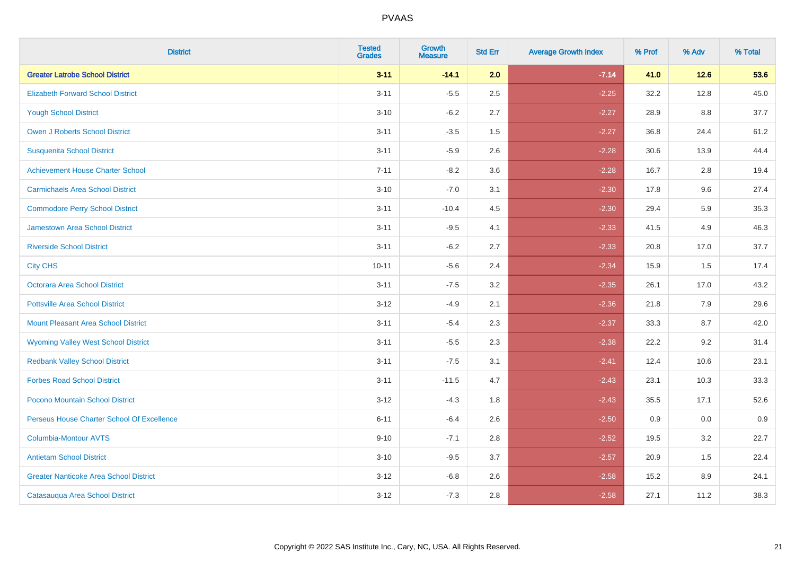| <b>District</b>                               | <b>Tested</b><br><b>Grades</b> | <b>Growth</b><br><b>Measure</b> | <b>Std Err</b> | <b>Average Growth Index</b> | % Prof | % Adv | % Total |
|-----------------------------------------------|--------------------------------|---------------------------------|----------------|-----------------------------|--------|-------|---------|
| <b>Greater Latrobe School District</b>        | $3 - 11$                       | $-14.1$                         | 2.0            | $-7.14$                     | 41.0   | 12.6  | 53.6    |
| <b>Elizabeth Forward School District</b>      | $3 - 11$                       | $-5.5$                          | 2.5            | $-2.25$                     | 32.2   | 12.8  | 45.0    |
| <b>Yough School District</b>                  | $3 - 10$                       | $-6.2$                          | 2.7            | $-2.27$                     | 28.9   | 8.8   | 37.7    |
| <b>Owen J Roberts School District</b>         | $3 - 11$                       | $-3.5$                          | 1.5            | $-2.27$                     | 36.8   | 24.4  | 61.2    |
| <b>Susquenita School District</b>             | $3 - 11$                       | $-5.9$                          | 2.6            | $-2.28$                     | 30.6   | 13.9  | 44.4    |
| <b>Achievement House Charter School</b>       | $7 - 11$                       | $-8.2$                          | 3.6            | $-2.28$                     | 16.7   | 2.8   | 19.4    |
| <b>Carmichaels Area School District</b>       | $3 - 10$                       | $-7.0$                          | 3.1            | $-2.30$                     | 17.8   | 9.6   | 27.4    |
| <b>Commodore Perry School District</b>        | $3 - 11$                       | $-10.4$                         | 4.5            | $-2.30$                     | 29.4   | 5.9   | 35.3    |
| Jamestown Area School District                | $3 - 11$                       | $-9.5$                          | 4.1            | $-2.33$                     | 41.5   | 4.9   | 46.3    |
| <b>Riverside School District</b>              | $3 - 11$                       | $-6.2$                          | 2.7            | $-2.33$                     | 20.8   | 17.0  | 37.7    |
| <b>City CHS</b>                               | $10 - 11$                      | $-5.6$                          | 2.4            | $-2.34$                     | 15.9   | 1.5   | 17.4    |
| <b>Octorara Area School District</b>          | $3 - 11$                       | $-7.5$                          | 3.2            | $-2.35$                     | 26.1   | 17.0  | 43.2    |
| <b>Pottsville Area School District</b>        | $3 - 12$                       | $-4.9$                          | 2.1            | $-2.36$                     | 21.8   | 7.9   | 29.6    |
| <b>Mount Pleasant Area School District</b>    | $3 - 11$                       | $-5.4$                          | 2.3            | $-2.37$                     | 33.3   | 8.7   | 42.0    |
| <b>Wyoming Valley West School District</b>    | $3 - 11$                       | $-5.5$                          | 2.3            | $-2.38$                     | 22.2   | 9.2   | 31.4    |
| <b>Redbank Valley School District</b>         | $3 - 11$                       | $-7.5$                          | 3.1            | $-2.41$                     | 12.4   | 10.6  | 23.1    |
| <b>Forbes Road School District</b>            | $3 - 11$                       | $-11.5$                         | 4.7            | $-2.43$                     | 23.1   | 10.3  | 33.3    |
| Pocono Mountain School District               | $3 - 12$                       | $-4.3$                          | 1.8            | $-2.43$                     | 35.5   | 17.1  | 52.6    |
| Perseus House Charter School Of Excellence    | $6 - 11$                       | $-6.4$                          | 2.6            | $-2.50$                     | 0.9    | 0.0   | 0.9     |
| <b>Columbia-Montour AVTS</b>                  | $9 - 10$                       | $-7.1$                          | 2.8            | $-2.52$                     | 19.5   | 3.2   | 22.7    |
| <b>Antietam School District</b>               | $3 - 10$                       | $-9.5$                          | 3.7            | $-2.57$                     | 20.9   | 1.5   | 22.4    |
| <b>Greater Nanticoke Area School District</b> | $3 - 12$                       | $-6.8$                          | 2.6            | $-2.58$                     | 15.2   | 8.9   | 24.1    |
| Catasauqua Area School District               | $3 - 12$                       | $-7.3$                          | 2.8            | $-2.58$                     | 27.1   | 11.2  | 38.3    |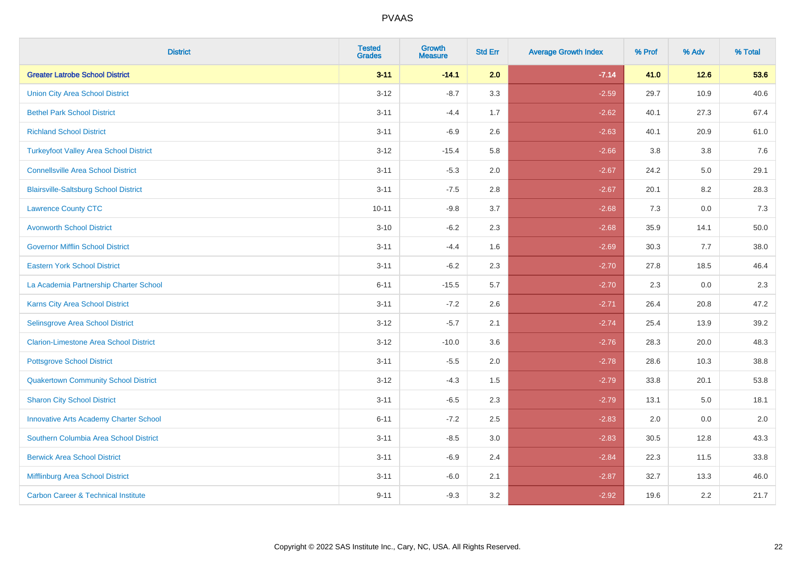| <b>District</b>                                | <b>Tested</b><br><b>Grades</b> | <b>Growth</b><br><b>Measure</b> | <b>Std Err</b> | <b>Average Growth Index</b> | % Prof | % Adv  | % Total |
|------------------------------------------------|--------------------------------|---------------------------------|----------------|-----------------------------|--------|--------|---------|
| <b>Greater Latrobe School District</b>         | $3 - 11$                       | $-14.1$                         | 2.0            | $-7.14$                     | 41.0   | $12.6$ | 53.6    |
| <b>Union City Area School District</b>         | $3 - 12$                       | $-8.7$                          | 3.3            | $-2.59$                     | 29.7   | 10.9   | 40.6    |
| <b>Bethel Park School District</b>             | $3 - 11$                       | $-4.4$                          | 1.7            | $-2.62$                     | 40.1   | 27.3   | 67.4    |
| <b>Richland School District</b>                | $3 - 11$                       | $-6.9$                          | 2.6            | $-2.63$                     | 40.1   | 20.9   | 61.0    |
| <b>Turkeyfoot Valley Area School District</b>  | $3 - 12$                       | $-15.4$                         | 5.8            | $-2.66$                     | 3.8    | 3.8    | 7.6     |
| <b>Connellsville Area School District</b>      | $3 - 11$                       | $-5.3$                          | 2.0            | $-2.67$                     | 24.2   | 5.0    | 29.1    |
| <b>Blairsville-Saltsburg School District</b>   | $3 - 11$                       | $-7.5$                          | 2.8            | $-2.67$                     | 20.1   | 8.2    | 28.3    |
| <b>Lawrence County CTC</b>                     | $10 - 11$                      | $-9.8$                          | 3.7            | $-2.68$                     | 7.3    | 0.0    | 7.3     |
| <b>Avonworth School District</b>               | $3 - 10$                       | $-6.2$                          | 2.3            | $-2.68$                     | 35.9   | 14.1   | 50.0    |
| <b>Governor Mifflin School District</b>        | $3 - 11$                       | $-4.4$                          | 1.6            | $-2.69$                     | 30.3   | 7.7    | 38.0    |
| <b>Eastern York School District</b>            | $3 - 11$                       | $-6.2$                          | 2.3            | $-2.70$                     | 27.8   | 18.5   | 46.4    |
| La Academia Partnership Charter School         | $6 - 11$                       | $-15.5$                         | 5.7            | $-2.70$                     | 2.3    | 0.0    | 2.3     |
| Karns City Area School District                | $3 - 11$                       | $-7.2$                          | 2.6            | $-2.71$                     | 26.4   | 20.8   | 47.2    |
| Selinsgrove Area School District               | $3-12$                         | $-5.7$                          | 2.1            | $-2.74$                     | 25.4   | 13.9   | 39.2    |
| <b>Clarion-Limestone Area School District</b>  | $3 - 12$                       | $-10.0$                         | 3.6            | $-2.76$                     | 28.3   | 20.0   | 48.3    |
| <b>Pottsgrove School District</b>              | $3 - 11$                       | $-5.5$                          | 2.0            | $-2.78$                     | 28.6   | 10.3   | 38.8    |
| <b>Quakertown Community School District</b>    | $3 - 12$                       | $-4.3$                          | 1.5            | $-2.79$                     | 33.8   | 20.1   | 53.8    |
| <b>Sharon City School District</b>             | $3 - 11$                       | $-6.5$                          | 2.3            | $-2.79$                     | 13.1   | 5.0    | 18.1    |
| <b>Innovative Arts Academy Charter School</b>  | $6 - 11$                       | $-7.2$                          | 2.5            | $-2.83$                     | 2.0    | 0.0    | $2.0\,$ |
| Southern Columbia Area School District         | $3 - 11$                       | $-8.5$                          | 3.0            | $-2.83$                     | 30.5   | 12.8   | 43.3    |
| <b>Berwick Area School District</b>            | $3 - 11$                       | $-6.9$                          | 2.4            | $-2.84$                     | 22.3   | 11.5   | 33.8    |
| Mifflinburg Area School District               | $3 - 11$                       | $-6.0$                          | 2.1            | $-2.87$                     | 32.7   | 13.3   | 46.0    |
| <b>Carbon Career &amp; Technical Institute</b> | $9 - 11$                       | $-9.3$                          | 3.2            | $-2.92$                     | 19.6   | 2.2    | 21.7    |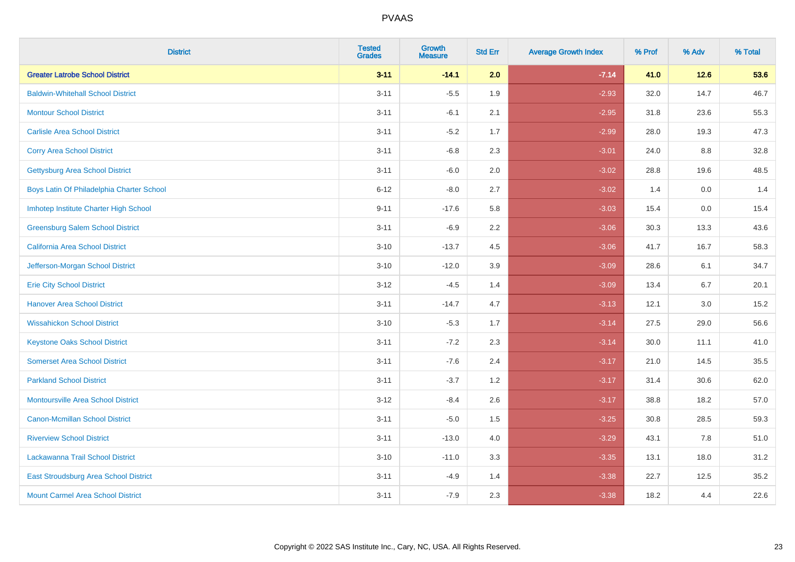| <b>District</b>                           | <b>Tested</b><br><b>Grades</b> | <b>Growth</b><br><b>Measure</b> | <b>Std Err</b> | <b>Average Growth Index</b> | % Prof | % Adv  | % Total |
|-------------------------------------------|--------------------------------|---------------------------------|----------------|-----------------------------|--------|--------|---------|
| <b>Greater Latrobe School District</b>    | $3 - 11$                       | $-14.1$                         | 2.0            | $-7.14$                     | 41.0   | $12.6$ | 53.6    |
| <b>Baldwin-Whitehall School District</b>  | $3 - 11$                       | $-5.5$                          | 1.9            | $-2.93$                     | 32.0   | 14.7   | 46.7    |
| <b>Montour School District</b>            | $3 - 11$                       | $-6.1$                          | 2.1            | $-2.95$                     | 31.8   | 23.6   | 55.3    |
| <b>Carlisle Area School District</b>      | $3 - 11$                       | $-5.2$                          | 1.7            | $-2.99$                     | 28.0   | 19.3   | 47.3    |
| <b>Corry Area School District</b>         | $3 - 11$                       | $-6.8$                          | 2.3            | $-3.01$                     | 24.0   | 8.8    | 32.8    |
| <b>Gettysburg Area School District</b>    | $3 - 11$                       | $-6.0$                          | 2.0            | $-3.02$                     | 28.8   | 19.6   | 48.5    |
| Boys Latin Of Philadelphia Charter School | $6 - 12$                       | $-8.0$                          | 2.7            | $-3.02$                     | 1.4    | 0.0    | 1.4     |
| Imhotep Institute Charter High School     | $9 - 11$                       | $-17.6$                         | 5.8            | $-3.03$                     | 15.4   | 0.0    | 15.4    |
| <b>Greensburg Salem School District</b>   | $3 - 11$                       | $-6.9$                          | 2.2            | $-3.06$                     | 30.3   | 13.3   | 43.6    |
| California Area School District           | $3 - 10$                       | $-13.7$                         | 4.5            | $-3.06$                     | 41.7   | 16.7   | 58.3    |
| Jefferson-Morgan School District          | $3 - 10$                       | $-12.0$                         | 3.9            | $-3.09$                     | 28.6   | 6.1    | 34.7    |
| <b>Erie City School District</b>          | $3 - 12$                       | $-4.5$                          | 1.4            | $-3.09$                     | 13.4   | 6.7    | 20.1    |
| <b>Hanover Area School District</b>       | $3 - 11$                       | $-14.7$                         | 4.7            | $-3.13$                     | 12.1   | 3.0    | 15.2    |
| <b>Wissahickon School District</b>        | $3 - 10$                       | $-5.3$                          | 1.7            | $-3.14$                     | 27.5   | 29.0   | 56.6    |
| <b>Keystone Oaks School District</b>      | $3 - 11$                       | $-7.2$                          | 2.3            | $-3.14$                     | 30.0   | 11.1   | 41.0    |
| <b>Somerset Area School District</b>      | $3 - 11$                       | $-7.6$                          | 2.4            | $-3.17$                     | 21.0   | 14.5   | 35.5    |
| <b>Parkland School District</b>           | $3 - 11$                       | $-3.7$                          | 1.2            | $-3.17$                     | 31.4   | 30.6   | 62.0    |
| <b>Montoursville Area School District</b> | $3-12$                         | $-8.4$                          | 2.6            | $-3.17$                     | 38.8   | 18.2   | 57.0    |
| <b>Canon-Mcmillan School District</b>     | $3 - 11$                       | $-5.0$                          | 1.5            | $-3.25$                     | 30.8   | 28.5   | 59.3    |
| <b>Riverview School District</b>          | $3 - 11$                       | $-13.0$                         | 4.0            | $-3.29$                     | 43.1   | 7.8    | 51.0    |
| Lackawanna Trail School District          | $3 - 10$                       | $-11.0$                         | 3.3            | $-3.35$                     | 13.1   | 18.0   | 31.2    |
| East Stroudsburg Area School District     | $3 - 11$                       | $-4.9$                          | 1.4            | $-3.38$                     | 22.7   | 12.5   | 35.2    |
| <b>Mount Carmel Area School District</b>  | $3 - 11$                       | $-7.9$                          | 2.3            | $-3.38$                     | 18.2   | 4.4    | 22.6    |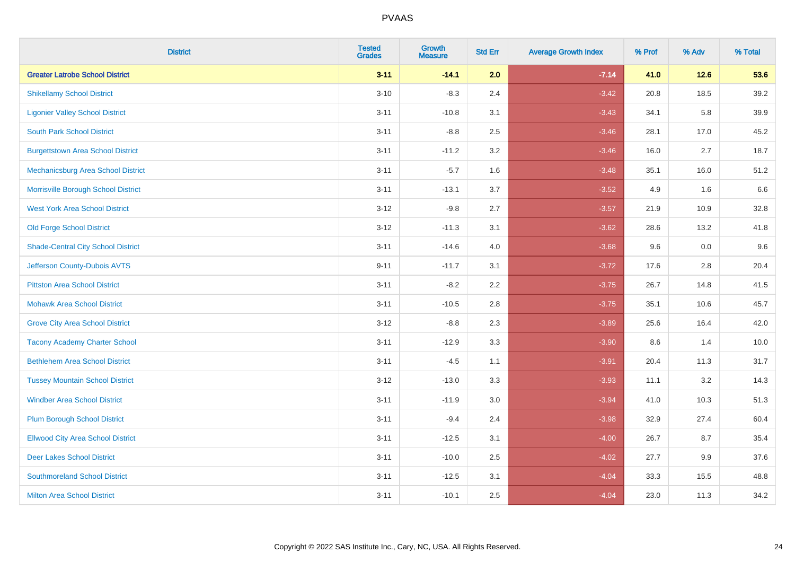| <b>District</b>                           | <b>Tested</b><br><b>Grades</b> | <b>Growth</b><br><b>Measure</b> | <b>Std Err</b> | <b>Average Growth Index</b> | % Prof | % Adv  | % Total |
|-------------------------------------------|--------------------------------|---------------------------------|----------------|-----------------------------|--------|--------|---------|
| <b>Greater Latrobe School District</b>    | $3 - 11$                       | $-14.1$                         | 2.0            | $-7.14$                     | 41.0   | $12.6$ | 53.6    |
| <b>Shikellamy School District</b>         | $3 - 10$                       | $-8.3$                          | 2.4            | $-3.42$                     | 20.8   | 18.5   | 39.2    |
| <b>Ligonier Valley School District</b>    | $3 - 11$                       | $-10.8$                         | 3.1            | $-3.43$                     | 34.1   | 5.8    | 39.9    |
| <b>South Park School District</b>         | $3 - 11$                       | $-8.8$                          | 2.5            | $-3.46$                     | 28.1   | 17.0   | 45.2    |
| <b>Burgettstown Area School District</b>  | $3 - 11$                       | $-11.2$                         | 3.2            | $-3.46$                     | 16.0   | 2.7    | 18.7    |
| Mechanicsburg Area School District        | $3 - 11$                       | $-5.7$                          | 1.6            | $-3.48$                     | 35.1   | 16.0   | 51.2    |
| Morrisville Borough School District       | $3 - 11$                       | $-13.1$                         | 3.7            | $-3.52$                     | 4.9    | 1.6    | 6.6     |
| <b>West York Area School District</b>     | $3 - 12$                       | $-9.8$                          | 2.7            | $-3.57$                     | 21.9   | 10.9   | 32.8    |
| <b>Old Forge School District</b>          | $3 - 12$                       | $-11.3$                         | 3.1            | $-3.62$                     | 28.6   | 13.2   | 41.8    |
| <b>Shade-Central City School District</b> | $3 - 11$                       | $-14.6$                         | 4.0            | $-3.68$                     | 9.6    | 0.0    | 9.6     |
| Jefferson County-Dubois AVTS              | $9 - 11$                       | $-11.7$                         | 3.1            | $-3.72$                     | 17.6   | 2.8    | 20.4    |
| <b>Pittston Area School District</b>      | $3 - 11$                       | $-8.2$                          | 2.2            | $-3.75$                     | 26.7   | 14.8   | 41.5    |
| <b>Mohawk Area School District</b>        | $3 - 11$                       | $-10.5$                         | 2.8            | $-3.75$                     | 35.1   | 10.6   | 45.7    |
| <b>Grove City Area School District</b>    | $3 - 12$                       | $-8.8$                          | 2.3            | $-3.89$                     | 25.6   | 16.4   | 42.0    |
| <b>Tacony Academy Charter School</b>      | $3 - 11$                       | $-12.9$                         | 3.3            | $-3.90$                     | 8.6    | 1.4    | 10.0    |
| <b>Bethlehem Area School District</b>     | $3 - 11$                       | $-4.5$                          | 1.1            | $-3.91$                     | 20.4   | 11.3   | 31.7    |
| <b>Tussey Mountain School District</b>    | $3 - 12$                       | $-13.0$                         | 3.3            | $-3.93$                     | 11.1   | 3.2    | 14.3    |
| <b>Windber Area School District</b>       | $3 - 11$                       | $-11.9$                         | 3.0            | $-3.94$                     | 41.0   | 10.3   | 51.3    |
| <b>Plum Borough School District</b>       | $3 - 11$                       | $-9.4$                          | 2.4            | $-3.98$                     | 32.9   | 27.4   | 60.4    |
| <b>Ellwood City Area School District</b>  | $3 - 11$                       | $-12.5$                         | 3.1            | $-4.00$                     | 26.7   | 8.7    | 35.4    |
| <b>Deer Lakes School District</b>         | $3 - 11$                       | $-10.0$                         | 2.5            | $-4.02$                     | 27.7   | 9.9    | 37.6    |
| <b>Southmoreland School District</b>      | $3 - 11$                       | $-12.5$                         | 3.1            | $-4.04$                     | 33.3   | 15.5   | 48.8    |
| <b>Milton Area School District</b>        | $3 - 11$                       | $-10.1$                         | 2.5            | $-4.04$                     | 23.0   | 11.3   | 34.2    |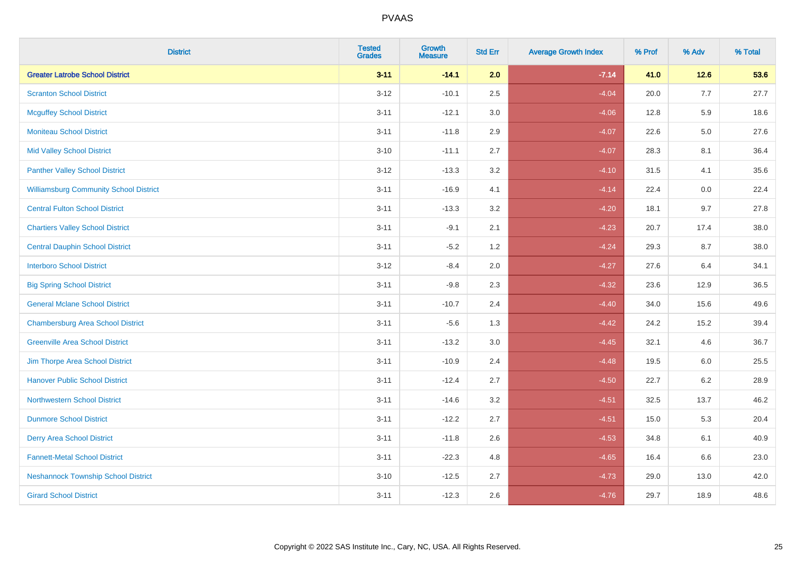| <b>District</b>                               | <b>Tested</b><br><b>Grades</b> | Growth<br><b>Measure</b> | <b>Std Err</b> | <b>Average Growth Index</b> | % Prof | % Adv   | % Total |
|-----------------------------------------------|--------------------------------|--------------------------|----------------|-----------------------------|--------|---------|---------|
| <b>Greater Latrobe School District</b>        | $3 - 11$                       | $-14.1$                  | 2.0            | $-7.14$                     | 41.0   | $12.6$  | 53.6    |
| <b>Scranton School District</b>               | $3 - 12$                       | $-10.1$                  | 2.5            | $-4.04$                     | 20.0   | 7.7     | 27.7    |
| <b>Mcguffey School District</b>               | $3 - 11$                       | $-12.1$                  | 3.0            | $-4.06$                     | 12.8   | 5.9     | 18.6    |
| <b>Moniteau School District</b>               | $3 - 11$                       | $-11.8$                  | 2.9            | $-4.07$                     | 22.6   | $5.0\,$ | 27.6    |
| <b>Mid Valley School District</b>             | $3 - 10$                       | $-11.1$                  | 2.7            | $-4.07$                     | 28.3   | 8.1     | 36.4    |
| <b>Panther Valley School District</b>         | $3 - 12$                       | $-13.3$                  | 3.2            | $-4.10$                     | 31.5   | 4.1     | 35.6    |
| <b>Williamsburg Community School District</b> | $3 - 11$                       | $-16.9$                  | 4.1            | $-4.14$                     | 22.4   | 0.0     | 22.4    |
| <b>Central Fulton School District</b>         | $3 - 11$                       | $-13.3$                  | 3.2            | $-4.20$                     | 18.1   | 9.7     | 27.8    |
| <b>Chartiers Valley School District</b>       | $3 - 11$                       | $-9.1$                   | 2.1            | $-4.23$                     | 20.7   | 17.4    | 38.0    |
| <b>Central Dauphin School District</b>        | $3 - 11$                       | $-5.2$                   | 1.2            | $-4.24$                     | 29.3   | 8.7     | 38.0    |
| <b>Interboro School District</b>              | $3 - 12$                       | $-8.4$                   | 2.0            | $-4.27$                     | 27.6   | 6.4     | 34.1    |
| <b>Big Spring School District</b>             | $3 - 11$                       | $-9.8$                   | 2.3            | $-4.32$                     | 23.6   | 12.9    | 36.5    |
| <b>General Mclane School District</b>         | $3 - 11$                       | $-10.7$                  | 2.4            | $-4.40$                     | 34.0   | 15.6    | 49.6    |
| <b>Chambersburg Area School District</b>      | $3 - 11$                       | $-5.6$                   | 1.3            | $-4.42$                     | 24.2   | 15.2    | 39.4    |
| <b>Greenville Area School District</b>        | $3 - 11$                       | $-13.2$                  | $3.0\,$        | $-4.45$                     | 32.1   | 4.6     | 36.7    |
| Jim Thorpe Area School District               | $3 - 11$                       | $-10.9$                  | 2.4            | $-4.48$                     | 19.5   | $6.0\,$ | 25.5    |
| <b>Hanover Public School District</b>         | $3 - 11$                       | $-12.4$                  | 2.7            | $-4.50$                     | 22.7   | 6.2     | 28.9    |
| <b>Northwestern School District</b>           | $3 - 11$                       | $-14.6$                  | 3.2            | $-4.51$                     | 32.5   | 13.7    | 46.2    |
| <b>Dunmore School District</b>                | $3 - 11$                       | $-12.2$                  | 2.7            | $-4.51$                     | 15.0   | 5.3     | 20.4    |
| <b>Derry Area School District</b>             | $3 - 11$                       | $-11.8$                  | 2.6            | $-4.53$                     | 34.8   | 6.1     | 40.9    |
| <b>Fannett-Metal School District</b>          | $3 - 11$                       | $-22.3$                  | 4.8            | $-4.65$                     | 16.4   | 6.6     | 23.0    |
| <b>Neshannock Township School District</b>    | $3 - 10$                       | $-12.5$                  | 2.7            | $-4.73$                     | 29.0   | 13.0    | 42.0    |
| <b>Girard School District</b>                 | $3 - 11$                       | $-12.3$                  | 2.6            | $-4.76$                     | 29.7   | 18.9    | 48.6    |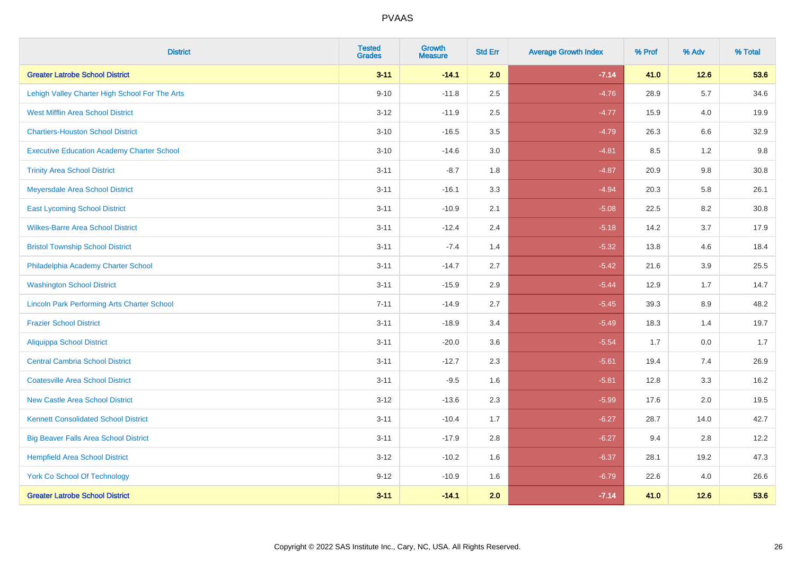| <b>District</b>                                    | <b>Tested</b><br><b>Grades</b> | <b>Growth</b><br><b>Measure</b> | <b>Std Err</b> | <b>Average Growth Index</b> | % Prof | % Adv   | % Total |
|----------------------------------------------------|--------------------------------|---------------------------------|----------------|-----------------------------|--------|---------|---------|
| <b>Greater Latrobe School District</b>             | $3 - 11$                       | $-14.1$                         | 2.0            | $-7.14$                     | 41.0   | 12.6    | 53.6    |
| Lehigh Valley Charter High School For The Arts     | $9 - 10$                       | $-11.8$                         | 2.5            | $-4.76$                     | 28.9   | $5.7\,$ | 34.6    |
| <b>West Mifflin Area School District</b>           | $3 - 12$                       | $-11.9$                         | 2.5            | $-4.77$                     | 15.9   | 4.0     | 19.9    |
| <b>Chartiers-Houston School District</b>           | $3 - 10$                       | $-16.5$                         | 3.5            | $-4.79$                     | 26.3   | 6.6     | 32.9    |
| <b>Executive Education Academy Charter School</b>  | $3 - 10$                       | $-14.6$                         | 3.0            | $-4.81$                     | 8.5    | 1.2     | 9.8     |
| <b>Trinity Area School District</b>                | $3 - 11$                       | $-8.7$                          | 1.8            | $-4.87$                     | 20.9   | 9.8     | 30.8    |
| Meyersdale Area School District                    | $3 - 11$                       | $-16.1$                         | 3.3            | $-4.94$                     | 20.3   | 5.8     | 26.1    |
| <b>East Lycoming School District</b>               | $3 - 11$                       | $-10.9$                         | 2.1            | $-5.08$                     | 22.5   | 8.2     | 30.8    |
| <b>Wilkes-Barre Area School District</b>           | $3 - 11$                       | $-12.4$                         | 2.4            | $-5.18$                     | 14.2   | 3.7     | 17.9    |
| <b>Bristol Township School District</b>            | $3 - 11$                       | $-7.4$                          | 1.4            | $-5.32$                     | 13.8   | 4.6     | 18.4    |
| Philadelphia Academy Charter School                | $3 - 11$                       | $-14.7$                         | 2.7            | $-5.42$                     | 21.6   | 3.9     | 25.5    |
| <b>Washington School District</b>                  | $3 - 11$                       | $-15.9$                         | 2.9            | $-5.44$                     | 12.9   | 1.7     | 14.7    |
| <b>Lincoln Park Performing Arts Charter School</b> | $7 - 11$                       | $-14.9$                         | 2.7            | $-5.45$                     | 39.3   | 8.9     | 48.2    |
| <b>Frazier School District</b>                     | $3 - 11$                       | $-18.9$                         | 3.4            | $-5.49$                     | 18.3   | 1.4     | 19.7    |
| <b>Aliquippa School District</b>                   | $3 - 11$                       | $-20.0$                         | 3.6            | $-5.54$                     | 1.7    | 0.0     | 1.7     |
| <b>Central Cambria School District</b>             | $3 - 11$                       | $-12.7$                         | 2.3            | $-5.61$                     | 19.4   | 7.4     | 26.9    |
| <b>Coatesville Area School District</b>            | $3 - 11$                       | $-9.5$                          | 1.6            | $-5.81$                     | 12.8   | 3.3     | 16.2    |
| <b>New Castle Area School District</b>             | $3 - 12$                       | $-13.6$                         | 2.3            | $-5.99$                     | 17.6   | 2.0     | 19.5    |
| <b>Kennett Consolidated School District</b>        | $3 - 11$                       | $-10.4$                         | 1.7            | $-6.27$                     | 28.7   | 14.0    | 42.7    |
| <b>Big Beaver Falls Area School District</b>       | $3 - 11$                       | $-17.9$                         | 2.8            | $-6.27$                     | 9.4    | 2.8     | 12.2    |
| <b>Hempfield Area School District</b>              | $3 - 12$                       | $-10.2$                         | 1.6            | $-6.37$                     | 28.1   | 19.2    | 47.3    |
| <b>York Co School Of Technology</b>                | $9 - 12$                       | $-10.9$                         | 1.6            | $-6.79$                     | 22.6   | 4.0     | 26.6    |
| <b>Greater Latrobe School District</b>             | $3 - 11$                       | $-141$                          | 2.0            | $-7.14$                     | 41.0   | 12.6    | 53.6    |